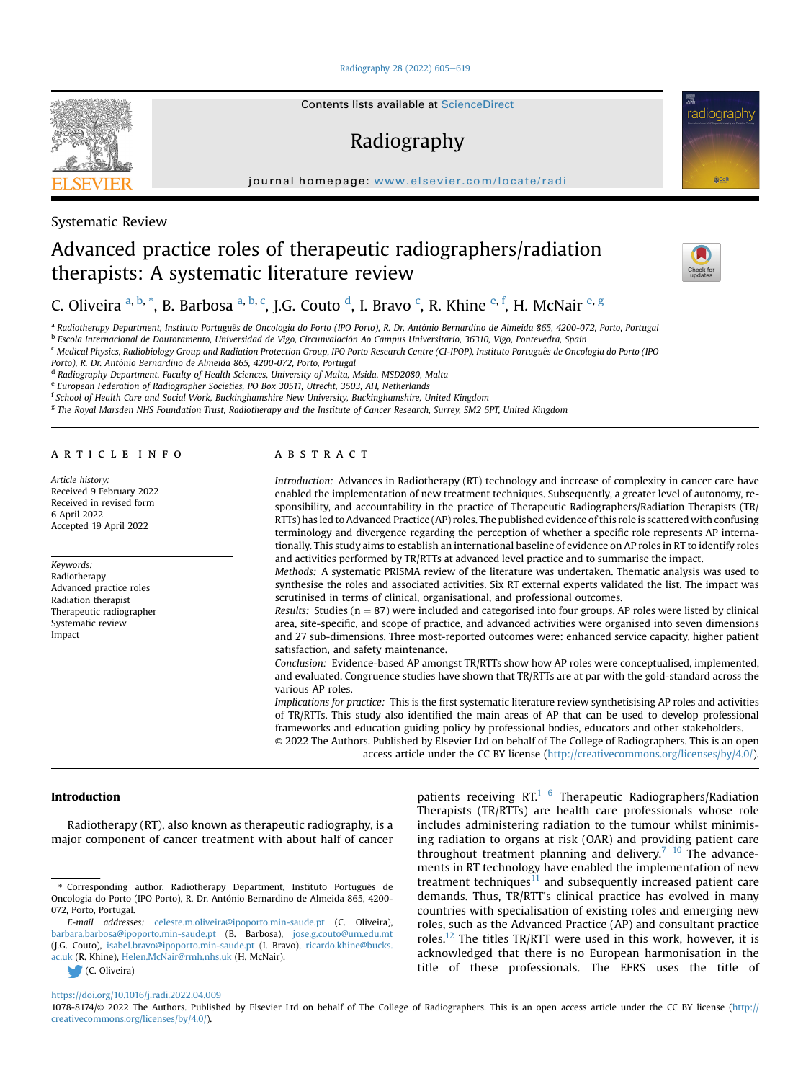## [Radiography 28 \(2022\) 605](https://doi.org/10.1016/j.radi.2022.04.009)-[619](https://doi.org/10.1016/j.radi.2022.04.009)

Contents lists available at [ScienceDirect](www.sciencedirect.com/science/journal/10788174)

# Radiography

journal homepage: [www.elsevier.com/locate/radi](http://www.elsevier.com/locate/radi)



Systematic Review

# Advanced practice roles of therapeutic radiographers/radiation therapists: A systematic literature review



radiography

C. Oliveira <sup>a, [b,](#page-0-0)</sup> [\\*](#page-0-1), B. Bar[b](#page-0-0)osa <sup>a, b, [c](#page-0-2)</sup>, J.G. Couto <sup>[d](#page-0-3)</sup>, I. Bravo <sup>c</sup>, R. Khin[e](#page-0-4) <sup>e, [f](#page-0-5)</sup>, H. McNair <sup>e, [g](#page-0-6)</sup>

<sup>a</sup> Radiotherapy Department, Instituto Português de Oncologia do Porto (IPO Porto), R. Dr. António Bernardino de Almeida 865, 4200-072, Porto, Portugal

<span id="page-0-0"></span><sup>b</sup> Escola Internacional de Doutoramento, Universidad de Vigo, Circunvalación Ao Campus Universitario, 36310, Vigo, Pontevedra, Spain

<span id="page-0-2"></span><sup>c</sup> Medical Physics, Radiobiology Group and Radiation Protection Group, IPO Porto Research Centre (CI-IPOP), Instituto Português de Oncologia do Porto (IPO

Porto), R. Dr. António Bernardino de Almeida 865, 4200-072, Porto, Portugal

<span id="page-0-3"></span>d Radiography Department, Faculty of Health Sciences, University of Malta, Msida, MSD2080, Malta

<span id="page-0-4"></span><sup>e</sup> European Federation of Radiographer Societies, PO Box 30511, Utrecht, 3503, AH, Netherlands

<span id="page-0-5"></span><sup>f</sup> School of Health Care and Social Work, Buckinghamshire New University, Buckinghamshire, United Kingdom

<span id="page-0-6"></span><sup>g</sup> The Royal Marsden NHS Foundation Trust, Radiotherapy and the Institute of Cancer Research, Surrey, SM2 5PT, United Kingdom

## article info

Article history: Received 9 February 2022 Received in revised form 6 April 2022 Accepted 19 April 2022

Keywords: Radiotherapy Advanced practice roles Radiation therapist Therapeutic radiographer Systematic review Impact

# ABSTRACT

Introduction: Advances in Radiotherapy (RT) technology and increase of complexity in cancer care have enabled the implementation of new treatment techniques. Subsequently, a greater level of autonomy, responsibility, and accountability in the practice of Therapeutic Radiographers/Radiation Therapists (TR/ RTTs) has led to Advanced Practice (AP) roles. The published evidence of this role is scattered with confusing terminology and divergence regarding the perception of whether a specific role represents AP internationally. This study aims to establish an international baseline of evidence on AP roles in RT to identify roles and activities performed by TR/RTTs at advanced level practice and to summarise the impact.

Methods: A systematic PRISMA review of the literature was undertaken. Thematic analysis was used to synthesise the roles and associated activities. Six RT external experts validated the list. The impact was scrutinised in terms of clinical, organisational, and professional outcomes.

Results: Studies ( $n = 87$ ) were included and categorised into four groups. AP roles were listed by clinical area, site-specific, and scope of practice, and advanced activities were organised into seven dimensions and 27 sub-dimensions. Three most-reported outcomes were: enhanced service capacity, higher patient satisfaction, and safety maintenance.

Conclusion: Evidence-based AP amongst TR/RTTs show how AP roles were conceptualised, implemented, and evaluated. Congruence studies have shown that TR/RTTs are at par with the gold-standard across the various AP roles.

Implications for practice: This is the first systematic literature review synthetisising AP roles and activities of TR/RTTs. This study also identified the main areas of AP that can be used to develop professional frameworks and education guiding policy by professional bodies, educators and other stakeholders.

© 2022 The Authors. Published by Elsevier Ltd on behalf of The College of Radiographers. This is an open access article under the CC BY license [\(http://creativecommons.org/licenses/by/4.0/](http://creativecommons.org/licenses/by/4.0/)).

## Introduction

Radiotherapy (RT), also known as therapeutic radiography, is a major component of cancer treatment with about half of cancer

(C. Oliveira)

patients receiving  $RT^{1-6}$  $RT^{1-6}$  $RT^{1-6}$  $RT^{1-6}$  $RT^{1-6}$  Therapeutic Radiographers/Radiation Therapists (TR/RTTs) are health care professionals whose role includes administering radiation to the tumour whilst minimising radiation to organs at risk (OAR) and providing patient care throughout treatment planning and delivery.<sup>[7](#page-10-1)-[10](#page-10-1)</sup> The advancements in RT technology have enabled the implementation of new treatment techniques<sup>[11](#page-10-2)</sup> and subsequently increased patient care demands. Thus, TR/RTT's clinical practice has evolved in many countries with specialisation of existing roles and emerging new roles, such as the Advanced Practice (AP) and consultant practice roles.<sup>12</sup> The titles TR/RTT were used in this work, however, it is acknowledged that there is no European harmonisation in the title of these professionals. The EFRS uses the title of

## <https://doi.org/10.1016/j.radi.2022.04.009>

1078-8174/© 2022 The Authors. Published by Elsevier Ltd on behalf of The College of Radiographers. This is an open access article under the CC BY license [\(http://](http://creativecommons.org/licenses/by/4.0/) [creativecommons.org/licenses/by/4.0/\)](http://creativecommons.org/licenses/by/4.0/).

<span id="page-0-1"></span><sup>\*</sup> Corresponding author. Radiotherapy Department, Instituto Portugues de ^ Oncologia do Porto (IPO Porto), R. Dr. António Bernardino de Almeida 865, 4200-072, Porto, Portugal.

E-mail addresses: [celeste.m.oliveira@ipoporto.min-saude.pt](mailto:celeste.m.oliveira@ipoporto.min-saude.pt) (C. Oliveira), [barbara.barbosa@ipoporto.min-saude.pt](mailto:barbara.barbosa@ipoporto.min-saude.pt) (B. Barbosa), [jose.g.couto@um.edu.mt](mailto:jose.g.couto@um.edu.mt) (J.G. Couto), [isabel.bravo@ipoporto.min-saude.pt](mailto:isabel.bravo@ipoporto.min-saude.pt) (I. Bravo), [ricardo.khine@bucks.](mailto:ricardo.khine@bucks.ac.uk) [ac.uk](mailto:ricardo.khine@bucks.ac.uk) (R. Khine), [Helen.McNair@rmh.nhs.uk](mailto:Helen.McNair@rmh.nhs.uk) (H. McNair).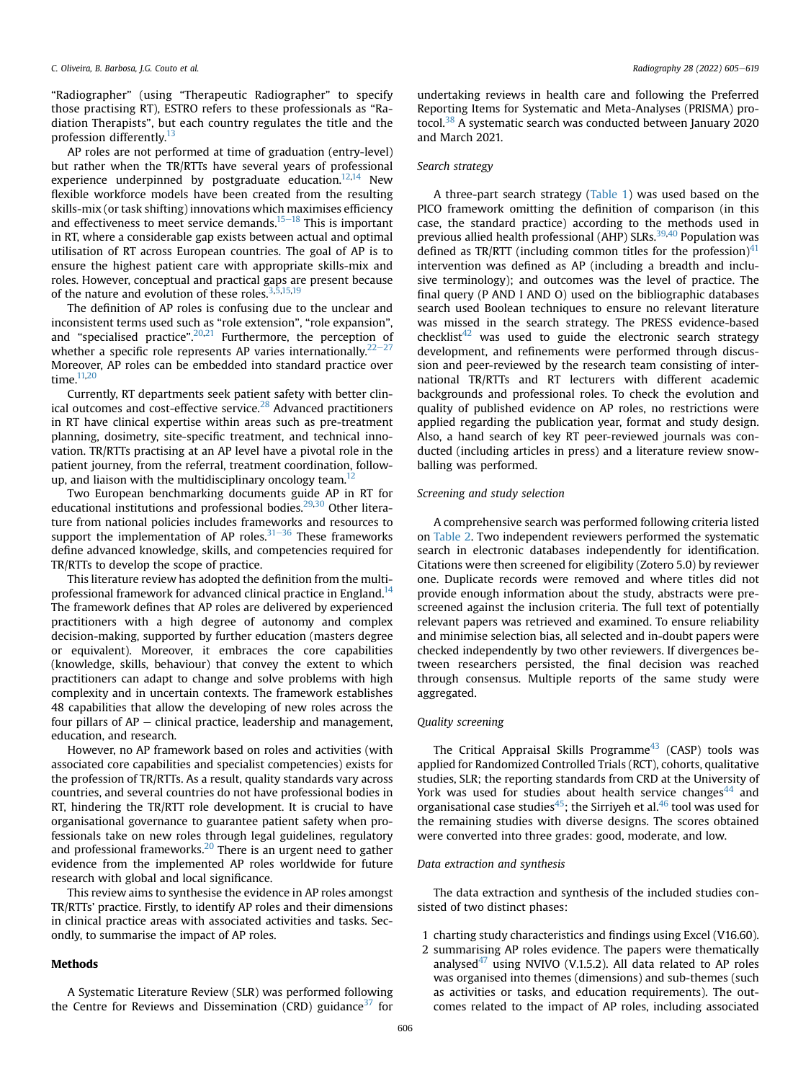"Radiographer" (using "Therapeutic Radiographer" to specify those practising RT), ESTRO refers to these professionals as "Radiation Therapists", but each country regulates the title and the profession differently.<sup>[13](#page-10-4)</sup>

AP roles are not performed at time of graduation (entry-level) but rather when the TR/RTTs have several years of professional experience underpinned by postgraduate education. $12,14$  $12,14$  $12,14$  New flexible workforce models have been created from the resulting skills-mix (or task shifting) innovations which maximises efficiency and effectiveness to meet service demands.<sup>15–[18](#page-10-6)</sup> This is important in RT, where a considerable gap exists between actual and optimal utilisation of RT across European countries. The goal of AP is to ensure the highest patient care with appropriate skills-mix and roles. However, conceptual and practical gaps are present because of the nature and evolution of these roles. $3,5,15,19$  $3,5,15,19$  $3,5,15,19$  $3,5,15,19$ 

The definition of AP roles is confusing due to the unclear and inconsistent terms used such as "role extension", "role expansion", and "specialised practice".<sup>[20](#page-10-10),[21](#page-10-11)</sup> Furthermore, the perception of whether a specific role represents AP varies internationally. $22-27$  $22-27$  $22-27$ Moreover, AP roles can be embedded into standard practice over time.<sup>[11,](#page-10-2)[20](#page-10-10)</sup>

Currently, RT departments seek patient safety with better clin-ical outcomes and cost-effective service.<sup>[28](#page-10-13)</sup> Advanced practitioners in RT have clinical expertise within areas such as pre-treatment planning, dosimetry, site-specific treatment, and technical innovation. TR/RTTs practising at an AP level have a pivotal role in the patient journey, from the referral, treatment coordination, follow-up, and liaison with the multidisciplinary oncology team.<sup>[12](#page-10-3)</sup>

Two European benchmarking documents guide AP in RT for educational institutions and professional bodies. $29,30$  $29,30$  Other literature from national policies includes frameworks and resources to support the implementation of AP roles. $31-36$  $31-36$  These frameworks define advanced knowledge, skills, and competencies required for TR/RTTs to develop the scope of practice.

This literature review has adopted the definition from the multiprofessional framework for advanced clinical practice in England.<sup>14</sup> The framework defines that AP roles are delivered by experienced practitioners with a high degree of autonomy and complex decision-making, supported by further education (masters degree or equivalent). Moreover, it embraces the core capabilities (knowledge, skills, behaviour) that convey the extent to which practitioners can adapt to change and solve problems with high complexity and in uncertain contexts. The framework establishes 48 capabilities that allow the developing of new roles across the four pillars of  $AP -$  clinical practice, leadership and management, education, and research.

However, no AP framework based on roles and activities (with associated core capabilities and specialist competencies) exists for the profession of TR/RTTs. As a result, quality standards vary across countries, and several countries do not have professional bodies in RT, hindering the TR/RTT role development. It is crucial to have organisational governance to guarantee patient safety when professionals take on new roles through legal guidelines, regulatory and professional frameworks.<sup>[20](#page-10-10)</sup> There is an urgent need to gather evidence from the implemented AP roles worldwide for future research with global and local significance.

This review aims to synthesise the evidence in AP roles amongst TR/RTTs' practice. Firstly, to identify AP roles and their dimensions in clinical practice areas with associated activities and tasks. Secondly, to summarise the impact of AP roles.

# Methods

A Systematic Literature Review (SLR) was performed following the Centre for Reviews and Dissemination (CRD) guidance<sup>37</sup> for

undertaking reviews in health care and following the Preferred Reporting Items for Systematic and Meta-Analyses (PRISMA) protocol.[38](#page-10-18) A systematic search was conducted between January 2020 and March 2021.

# Search strategy

A three-part search strategy ([Table 1\)](#page-2-0) was used based on the PICO framework omitting the definition of comparison (in this case, the standard practice) according to the methods used in previous allied health professional (AHP) SLRs.<sup>39,[40](#page-11-1)</sup> Population was defined as TR/RTT (including common titles for the profession)<sup>[41](#page-11-2)</sup> intervention was defined as AP (including a breadth and inclusive terminology); and outcomes was the level of practice. The final query (P AND I AND O) used on the bibliographic databases search used Boolean techniques to ensure no relevant literature was missed in the search strategy. The PRESS evidence-based  $checklist^{42}$  $checklist^{42}$  $checklist^{42}$  was used to guide the electronic search strategy development, and refinements were performed through discussion and peer-reviewed by the research team consisting of international TR/RTTs and RT lecturers with different academic backgrounds and professional roles. To check the evolution and quality of published evidence on AP roles, no restrictions were applied regarding the publication year, format and study design. Also, a hand search of key RT peer-reviewed journals was conducted (including articles in press) and a literature review snowballing was performed.

## Screening and study selection

A comprehensive search was performed following criteria listed on [Table 2.](#page-2-1) Two independent reviewers performed the systematic search in electronic databases independently for identification. Citations were then screened for eligibility (Zotero 5.0) by reviewer one. Duplicate records were removed and where titles did not provide enough information about the study, abstracts were prescreened against the inclusion criteria. The full text of potentially relevant papers was retrieved and examined. To ensure reliability and minimise selection bias, all selected and in-doubt papers were checked independently by two other reviewers. If divergences between researchers persisted, the final decision was reached through consensus. Multiple reports of the same study were aggregated.

## Quality screening

The Critical Appraisal Skills Programme $43$  (CASP) tools was applied for Randomized Controlled Trials (RCT), cohorts, qualitative studies, SLR; the reporting standards from CRD at the University of York was used for studies about health service changes<sup>[44](#page-11-5)</sup> and organisational case studies $45$ ; the Sirriyeh et al. $46$  tool was used for the remaining studies with diverse designs. The scores obtained were converted into three grades: good, moderate, and low.

## Data extraction and synthesis

The data extraction and synthesis of the included studies consisted of two distinct phases:

- 1 charting study characteristics and findings using Excel (V16.60).
- 2 summarising AP roles evidence. The papers were thematically analysed $47$  using NVIVO (V.1.5.2). All data related to AP roles was organised into themes (dimensions) and sub-themes (such as activities or tasks, and education requirements). The outcomes related to the impact of AP roles, including associated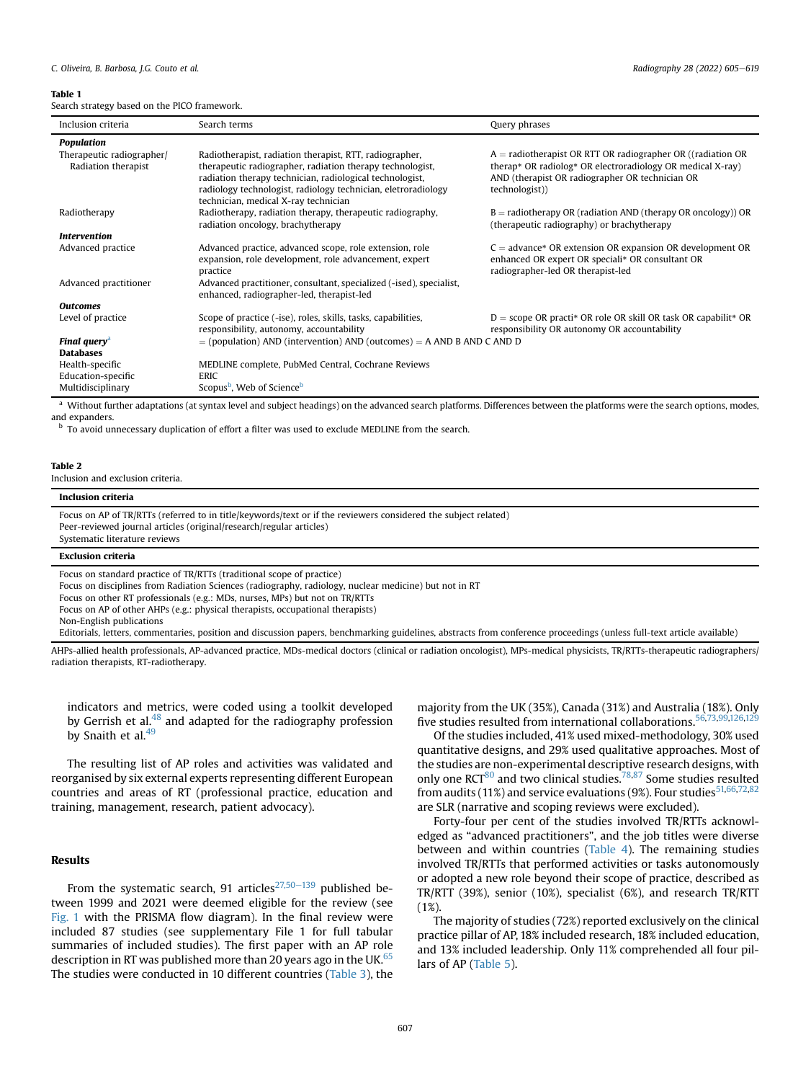#### <span id="page-2-0"></span>Table 1

Search strategy based on the PICO framework.

| Inclusion criteria        | Search terms                                                                                          | Query phrases                                                                         |
|---------------------------|-------------------------------------------------------------------------------------------------------|---------------------------------------------------------------------------------------|
| <b>Population</b>         |                                                                                                       |                                                                                       |
| Therapeutic radiographer/ | Radiotherapist, radiation therapist, RTT, radiographer,                                               | $A =$ radiotherapist OR RTT OR radiographer OR ((radiation OR                         |
| Radiation therapist       | therapeutic radiographer, radiation therapy technologist,                                             | therap* OR radiolog* OR electroradiology OR medical X-ray)                            |
|                           | radiation therapy technician, radiological technologist,                                              | AND (therapist OR radiographer OR technician OR                                       |
|                           | radiology technologist, radiology technician, eletroradiology<br>technician, medical X-ray technician | (technologist)                                                                        |
| Radiotherapy              | Radiotherapy, radiation therapy, therapeutic radiography,                                             | $B =$ radiotherapy OR (radiation AND (therapy OR oncology)) OR                        |
|                           | radiation oncology, brachytherapy                                                                     | (therapeutic radiography) or brachytherapy                                            |
| <i>Intervention</i>       |                                                                                                       |                                                                                       |
| Advanced practice         | Advanced practice, advanced scope, role extension, role                                               | $C =$ advance* OR extension OR expansion OR development OR                            |
|                           | expansion, role development, role advancement, expert<br>practice                                     | enhanced OR expert OR speciali* OR consultant OR<br>radiographer-led OR therapist-led |
| Advanced practitioner     | Advanced practitioner, consultant, specialized (-ised), specialist,                                   |                                                                                       |
|                           | enhanced, radiographer-led, therapist-led                                                             |                                                                                       |
| <b>Outcomes</b>           |                                                                                                       |                                                                                       |
| Level of practice         | Scope of practice (-ise), roles, skills, tasks, capabilities,                                         | $D =$ scope OR practi* OR role OR skill OR task OR capabilit* OR                      |
|                           | responsibility, autonomy, accountability                                                              | responsibility OR autonomy OR accountability                                          |
| <b>Final query</b>        | $=$ (population) AND (intervention) AND (outcomes) $=$ A AND B AND C AND D                            |                                                                                       |
| <b>Databases</b>          |                                                                                                       |                                                                                       |
| Health-specific           | MEDLINE complete, PubMed Central, Cochrane Reviews                                                    |                                                                                       |
| Education-specific        | <b>ERIC</b>                                                                                           |                                                                                       |
| Multidisciplinary         | Scopus <sup>b</sup> , Web of Science <sup>b</sup>                                                     |                                                                                       |

<span id="page-2-2"></span><sup>a</sup> Without further adaptations (at syntax level and subject headings) on the advanced search platforms. Differences between the platforms were the search options, modes, and expanders.

<span id="page-2-3"></span> $<sup>b</sup>$  To avoid unnecessary duplication of effort a filter was used to exclude MEDLINE from the search.</sup>

#### <span id="page-2-1"></span>Table 2

Inclusion and exclusion criteria.

| Inclusion criteria                                                                                                                                                                                                                                            |
|---------------------------------------------------------------------------------------------------------------------------------------------------------------------------------------------------------------------------------------------------------------|
| Focus on AP of TR/RTTs (referred to in title/keywords/text or if the reviewers considered the subject related)<br>Peer-reviewed journal articles (original/research/regular articles)<br>Systematic literature reviews                                        |
| <b>Exclusion criteria</b>                                                                                                                                                                                                                                     |
| Focus on standard practice of TR/RTTs (traditional scope of practice)<br>Focus on disciplines from Radiation Sciences (radiography, radiology, nuclear medicine) but not in RT<br>Focus on other RT professionals (e.g.: MDs, nurses, MPs) but not on TR/RTTs |

Focus on AP of other AHPs (e.g.: physical therapists, occupational therapists)

Non-English publications

Editorials, letters, commentaries, position and discussion papers, benchmarking guidelines, abstracts from conference proceedings (unless full-text article available)

AHPs-allied health professionals, AP-advanced practice, MDs-medical doctors (clinical or radiation oncologist), MPs-medical physicists, TR/RTTs-therapeutic radiographers/ radiation therapists, RT-radiotherapy.

indicators and metrics, were coded using a toolkit developed by Gerrish et al.<sup>[48](#page-11-9)</sup> and adapted for the radiography profession by Snaith et al.<sup>[49](#page-11-10)</sup>

The resulting list of AP roles and activities was validated and reorganised by six external experts representing different European countries and areas of RT (professional practice, education and training, management, research, patient advocacy).

## Results

From the systematic search, 91 articles $27,50-139$  $27,50-139$  $27,50-139$  published between 1999 and 2021 were deemed eligible for the review (see [Fig. 1](#page-3-0) with the PRISMA flow diagram). In the final review were included 87 studies (see supplementary File 1 for full tabular summaries of included studies). The first paper with an AP role description in RT was published more than 20 years ago in the UK. $65$ The studies were conducted in 10 different countries [\(Table 3](#page-3-1)), the

majority from the UK (35%), Canada (31%) and Australia (18%). Only five studies resulted from international collaborations.<sup>[56](#page-11-12)[,73](#page-11-13),[99](#page-12-0)[,126](#page-12-1),12</sup>

Of the studies included, 41% used mixed-methodology, 30% used quantitative designs, and 29% used qualitative approaches. Most of the studies are non-experimental descriptive research designs, with only one RCT $80$  and two clinical studies.<sup>[78,](#page-11-15)[87](#page-12-3)</sup> Some studies resulted from audits (11%) and service evaluations (9%). Four studies  $51,66,72,82$  $51,66,72,82$  $51,66,72,82$  $51,66,72,82$  $51,66,72,82$ are SLR (narrative and scoping reviews were excluded).

Forty-four per cent of the studies involved TR/RTTs acknowledged as "advanced practitioners", and the job titles were diverse between and within countries ([Table 4](#page-4-0)). The remaining studies involved TR/RTTs that performed activities or tasks autonomously or adopted a new role beyond their scope of practice, described as TR/RTT (39%), senior (10%), specialist (6%), and research TR/RTT (1%).

The majority of studies (72%) reported exclusively on the clinical practice pillar of AP, 18% included research, 18% included education, and 13% included leadership. Only 11% comprehended all four pillars of AP [\(Table 5](#page-4-1)).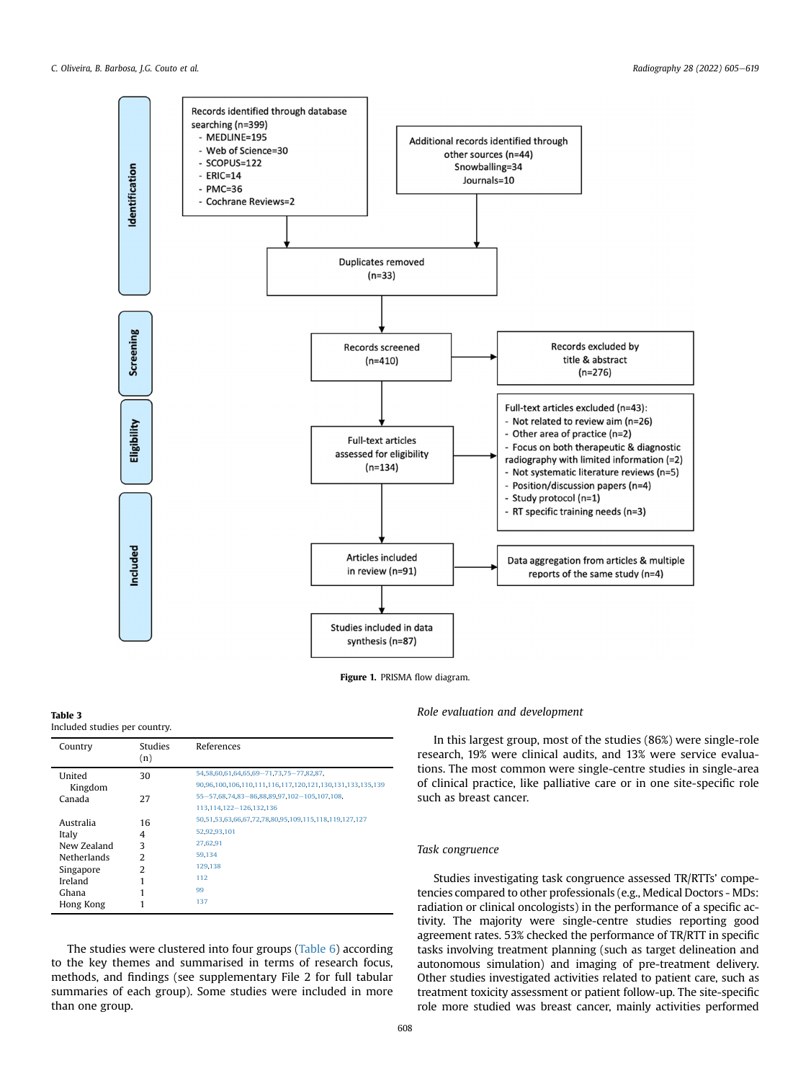<span id="page-3-0"></span>

Figure 1. PRISMA flow diagram.

#### <span id="page-3-1"></span>Table 3 Included studies per country.

| Country            | <b>Studies</b><br>(n) | References                                                |
|--------------------|-----------------------|-----------------------------------------------------------|
| United             | 30                    | 54, 58, 60, 61, 64, 65, 69 - 71, 73, 75 - 77, 82, 87,     |
| Kingdom            |                       | 90,96,100,106,110,111,116,117,120,121,130,131,133,135,139 |
| Canada             | 27                    | 55-57,68,74,83-86,88,89,97,102-105,107,108,               |
|                    |                       | 113,114,122-126,132,136                                   |
| Australia          | 16                    | 50,51,53,63,66,67,72,78,80,95,109,115,118,119,127,127     |
| Italy              | 4                     | 52,92,93,101                                              |
| New Zealand        | 3                     | 27,62,91                                                  |
| <b>Netherlands</b> | っ                     | 59.134                                                    |
| Singapore          | 2                     | 129,138                                                   |
| Ireland            |                       | 112                                                       |
| Ghana              |                       | 99                                                        |
| Hong Kong          |                       | 137                                                       |

The studies were clustered into four groups ([Table 6\)](#page-4-2) according to the key themes and summarised in terms of research focus, methods, and findings (see supplementary File 2 for full tabular summaries of each group). Some studies were included in more than one group.

# Role evaluation and development

In this largest group, most of the studies (86%) were single-role research, 19% were clinical audits, and 13% were service evaluations. The most common were single-centre studies in single-area of clinical practice, like palliative care or in one site-specific role such as breast cancer.

# Task congruence

Studies investigating task congruence assessed TR/RTTs' competencies compared to other professionals (e.g., Medical Doctors - MDs: radiation or clinical oncologists) in the performance of a specific activity. The majority were single-centre studies reporting good agreement rates. 53% checked the performance of TR/RTT in specific tasks involving treatment planning (such as target delineation and autonomous simulation) and imaging of pre-treatment delivery. Other studies investigated activities related to patient care, such as treatment toxicity assessment or patient follow-up. The site-specific role more studied was breast cancer, mainly activities performed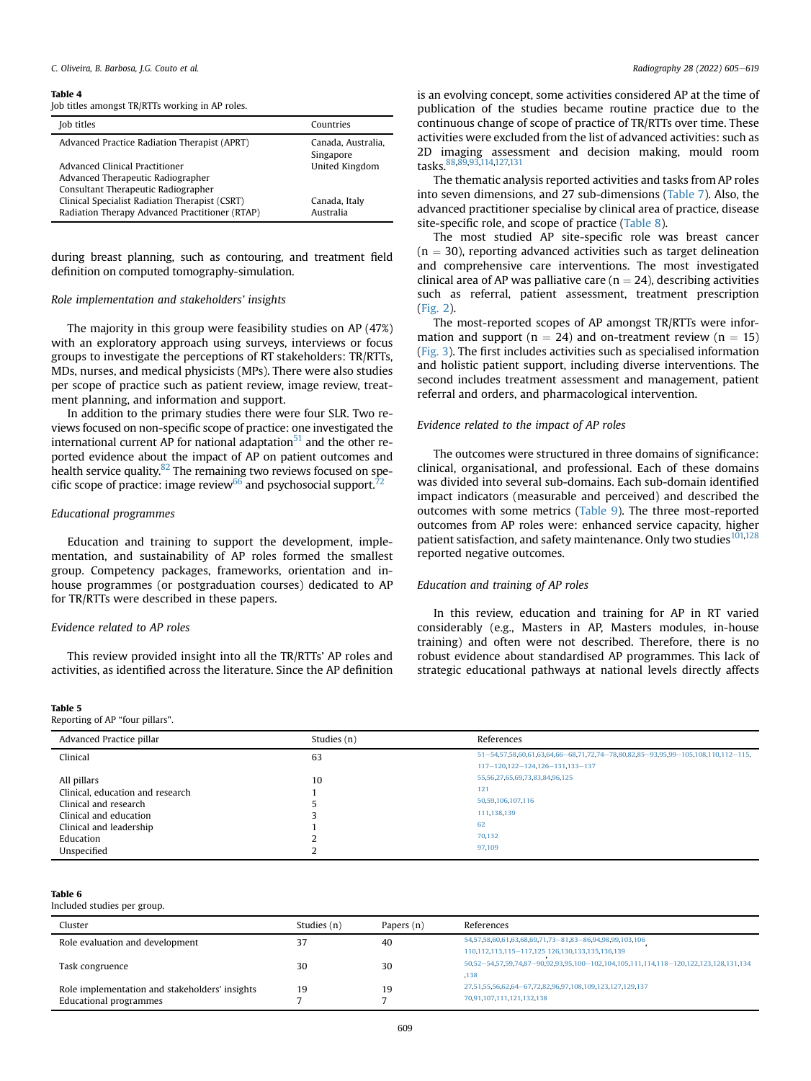#### C. Oliveira, B. Barbosa, I.G. Couto et al.  $\blacksquare$

#### <span id="page-4-0"></span>Table 4

| Job titles amongst TR/RTTs working in AP roles. |  |  |  |
|-------------------------------------------------|--|--|--|
|-------------------------------------------------|--|--|--|

| Job titles                                     | Countries                       |
|------------------------------------------------|---------------------------------|
| Advanced Practice Radiation Therapist (APRT)   | Canada, Australia,<br>Singapore |
| Advanced Clinical Practitioner                 | United Kingdom                  |
| Advanced Therapeutic Radiographer              |                                 |
| Consultant Therapeutic Radiographer            |                                 |
| Clinical Specialist Radiation Therapist (CSRT) | Canada, Italy                   |
| Radiation Therapy Advanced Practitioner (RTAP) | Australia                       |

during breast planning, such as contouring, and treatment field definition on computed tomography-simulation.

# Role implementation and stakeholders' insights

The majority in this group were feasibility studies on AP (47%) with an exploratory approach using surveys, interviews or focus groups to investigate the perceptions of RT stakeholders: TR/RTTs, MDs, nurses, and medical physicists (MPs). There were also studies per scope of practice such as patient review, image review, treatment planning, and information and support.

In addition to the primary studies there were four SLR. Two reviews focused on non-specific scope of practice: one investigated the international current AP for national adaptation<sup>51</sup> and the other reported evidence about the impact of AP on patient outcomes and health service quality. $82$  The remaining two reviews focused on spe-cific scope of practice: image review<sup>66</sup> and psychosocial support.<sup>[72](#page-11-18)</sup>

## Educational programmes

Education and training to support the development, implementation, and sustainability of AP roles formed the smallest group. Competency packages, frameworks, orientation and inhouse programmes (or postgraduation courses) dedicated to AP for TR/RTTs were described in these papers.

# Evidence related to AP roles

This review provided insight into all the TR/RTTs' AP roles and activities, as identified across the literature. Since the AP definition

#### <span id="page-4-1"></span>Table 5

Reporting of AP "four pillars".

is an evolving concept, some activities considered AP at the time of publication of the studies became routine practice due to the continuous change of scope of practice of TR/RTTs over time. These activities were excluded from the list of advanced activities: such as 2D imaging assessment and decision making, mould room tasks.[88,](#page-12-17)[89](#page-12-18),[93](#page-12-34)[,114](#page-12-24),[127,](#page-12-32)[131](#page-12-15)

The thematic analysis reported activities and tasks from AP roles into seven dimensions, and 27 sub-dimensions [\(Table 7](#page-5-0)). Also, the advanced practitioner specialise by clinical area of practice, disease site-specific role, and scope of practice ([Table 8\)](#page-6-0).

The most studied AP site-specific role was breast cancer  $(n = 30)$ , reporting advanced activities such as target delineation and comprehensive care interventions. The most investigated clinical area of AP was palliative care ( $n = 24$ ), describing activities such as referral, patient assessment, treatment prescription ([Fig. 2](#page-7-0)).

The most-reported scopes of AP amongst TR/RTTs were information and support ( $n = 24$ ) and on-treatment review ( $n = 15$ ) ([Fig. 3](#page-7-1)). The first includes activities such as specialised information and holistic patient support, including diverse interventions. The second includes treatment assessment and management, patient referral and orders, and pharmacological intervention.

## Evidence related to the impact of AP roles

The outcomes were structured in three domains of significance: clinical, organisational, and professional. Each of these domains was divided into several sub-domains. Each sub-domain identified impact indicators (measurable and perceived) and described the outcomes with some metrics ([Table 9\)](#page-8-0). The three most-reported outcomes from AP roles were: enhanced service capacity, higher patient satisfaction, and safety maintenance. Only two studies<sup>[101,](#page-12-35)[128](#page-12-38)</sup> reported negative outcomes.

#### Education and training of AP roles

In this review, education and training for AP in RT varied considerably (e.g., Masters in AP, Masters modules, in-house training) and often were not described. Therefore, there is no robust evidence about standardised AP programmes. This lack of strategic educational pathways at national levels directly affects

| Advanced Practice pillar         | Studies (n) | References                                                                      |
|----------------------------------|-------------|---------------------------------------------------------------------------------|
| Clinical                         | 63          | 51-54 57 58 60 61 63 64 66-68 71 72 74-78 80 82 85-93 95 99-105 108 110 112-115 |
|                                  |             | 117-120.122-124.126-131.133-137                                                 |
| All pillars                      | 10          | 55, 56, 27, 65, 69, 73, 83, 84, 96, 125                                         |
| Clinical, education and research |             | 121                                                                             |
| Clinical and research            |             | 50,59,106,107,116                                                               |
| Clinical and education           |             | 111, 138, 139                                                                   |
| Clinical and leadership          |             | 62                                                                              |
| Education                        |             | 70,132                                                                          |
| Unspecified                      |             | 97,109                                                                          |

#### <span id="page-4-2"></span>Table 6

#### Included studies per group.

| Cluster                                        | Studies (n) | Papers (n) | References                                                                           |
|------------------------------------------------|-------------|------------|--------------------------------------------------------------------------------------|
| Role evaluation and development                | 37          | 40         | 54, 57, 58, 60, 61, 63, 68, 69, 71, 73 - 81, 83 - 86, 94, 98, 99, 103, 106           |
|                                                |             |            | 110.112.113.115-117.125 126.130.133.135.136.139                                      |
| Task congruence                                | 30          | 30         | 50,52-54,57,59,74,87-90,92,93,95,100-102,104,105,111,114,118-120,122,123,128,131,134 |
|                                                |             |            | .138                                                                                 |
| Role implementation and stakeholders' insights | 19          | 19         | 27.51.55.56.62.64-67.72.82.96.97.108.109.123.127.129.137                             |
| Educational programmes                         |             |            | 70.91.107.111.121.132.138                                                            |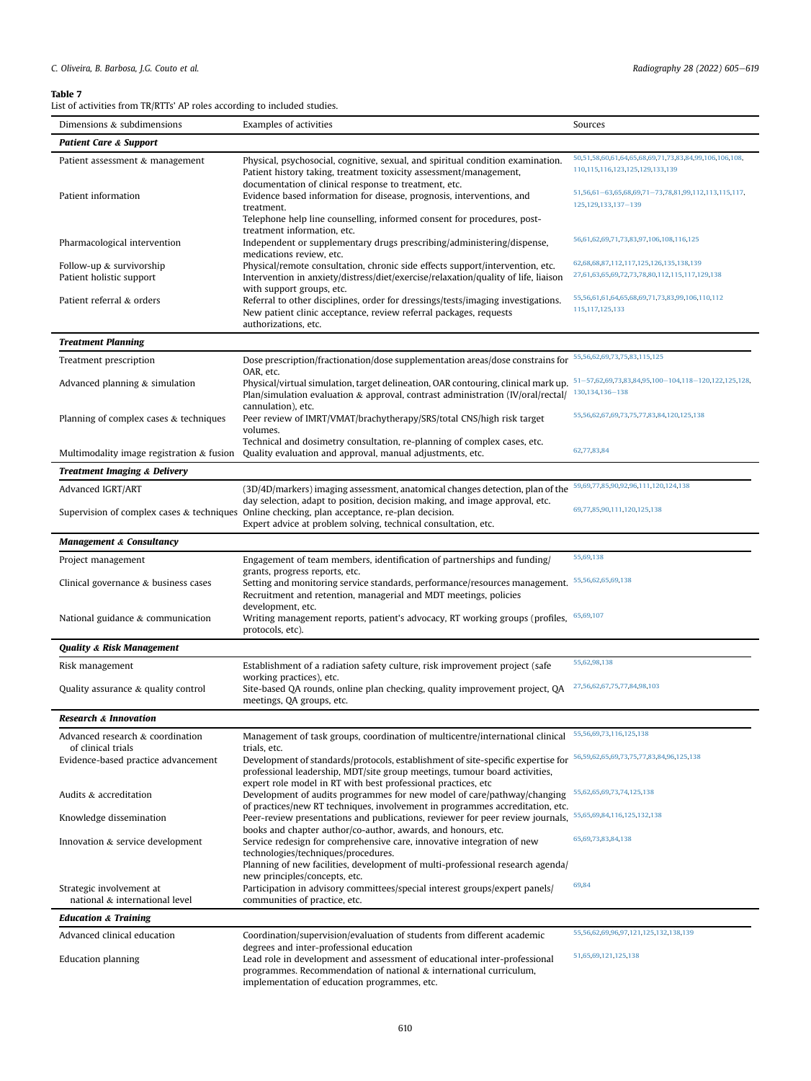# <span id="page-5-0"></span>Table 7

List of activities from TR/RTTs' AP roles according to included studies.

| Dimensions & subdimensions                             | Examples of activities                                                                                                                                                                                                                         | Sources                                                                                   |
|--------------------------------------------------------|------------------------------------------------------------------------------------------------------------------------------------------------------------------------------------------------------------------------------------------------|-------------------------------------------------------------------------------------------|
| <b>Patient Care &amp; Support</b>                      |                                                                                                                                                                                                                                                |                                                                                           |
| Patient assessment & management                        | Physical, psychosocial, cognitive, sexual, and spiritual condition examination.<br>Patient history taking, treatment toxicity assessment/management,<br>documentation of clinical response to treatment, etc.                                  | 50,51,58,60,61,64,65,68,69,71,73,83,84,99,106,106,108,<br>110,115,116,123,125,129,133,139 |
| Patient information                                    | Evidence based information for disease, prognosis, interventions, and<br>treatment.                                                                                                                                                            | 51,56,61-63,65,68,69,71-73,78,81,99,112,113,115,117,<br>125, 129, 133, 137 - 139          |
| Pharmacological intervention                           | Telephone help line counselling, informed consent for procedures, post-<br>treatment information, etc.<br>Independent or supplementary drugs prescribing/administering/dispense,                                                               | 56,61,62,69,71,73,83,97,106,108,116,125                                                   |
|                                                        | medications review, etc.                                                                                                                                                                                                                       |                                                                                           |
| Follow-up & survivorship<br>Patient holistic support   | Physical/remote consultation, chronic side effects support/intervention, etc.<br>Intervention in anxiety/distress/diet/exercise/relaxation/quality of life, liaison<br>with support groups, etc.                                               | 62,68,68,87,112,117,125,126,135,138,139<br>27,61,63,65,69,72,73,78,80,112,115,117,129,138 |
| Patient referral & orders                              | Referral to other disciplines, order for dressings/tests/imaging investigations.<br>New patient clinic acceptance, review referral packages, requests<br>authorizations, etc.                                                                  | 55,56,61,61,64,65,68,69,71,73,83,99,106,110,112<br>115, 117, 125, 133                     |
| <b>Treatment Planning</b>                              |                                                                                                                                                                                                                                                |                                                                                           |
| Treatment prescription                                 | Dose prescription/fractionation/dose supplementation areas/dose constrains for                                                                                                                                                                 | 55, 56, 62, 69, 73, 75, 83, 115, 125                                                      |
| Advanced planning & simulation                         | OAR, etc.<br>Physical/virtual simulation, target delineation, OAR contouring, clinical mark up.<br>Plan/simulation evaluation & approval, contrast administration (IV/oral/rectal/                                                             | 51-57,62,69,73,83,84,95,100-104,118-120,122,125,128,<br>130, 134, 136 - 138               |
| Planning of complex cases & techniques                 | cannulation), etc.<br>Peer review of IMRT/VMAT/brachytherapy/SRS/total CNS/high risk target<br>volumes.                                                                                                                                        | 55,56,62,67,69,73,75,77,83,84,120,125,138                                                 |
| Multimodality image registration & fusion              | Technical and dosimetry consultation, re-planning of complex cases, etc.<br>Quality evaluation and approval, manual adjustments, etc.                                                                                                          | 62,77,83,84                                                                               |
| <b>Treatment Imaging &amp; Delivery</b>                |                                                                                                                                                                                                                                                |                                                                                           |
| Advanced IGRT/ART                                      | (3D/4D/markers) imaging assessment, anatomical changes detection, plan of the                                                                                                                                                                  | 59,69,77,85,90,92,96,111,120,124,138                                                      |
|                                                        | day selection, adapt to position, decision making, and image approval, etc.<br>Supervision of complex cases & techniques Online checking, plan acceptance, re-plan decision.<br>Expert advice at problem solving, technical consultation, etc. | 69,77,85,90,111,120,125,138                                                               |
| <b>Management &amp; Consultancy</b>                    |                                                                                                                                                                                                                                                |                                                                                           |
| Project management                                     | Engagement of team members, identification of partnerships and funding/                                                                                                                                                                        | 55,69,138                                                                                 |
| Clinical governance & business cases                   | grants, progress reports, etc.<br>Setting and monitoring service standards, performance/resources management.<br>Recruitment and retention, managerial and MDT meetings, policies                                                              | 55,56,62,65,69,138                                                                        |
| National guidance & communication                      | development, etc.<br>Writing management reports, patient's advocacy, RT working groups (profiles,<br>protocols, etc).                                                                                                                          | 65,69,107                                                                                 |
| <b>Quality &amp; Risk Management</b>                   |                                                                                                                                                                                                                                                |                                                                                           |
| Risk management                                        | Establishment of a radiation safety culture, risk improvement project (safe                                                                                                                                                                    | 55,62,98,138                                                                              |
| Quality assurance & quality control                    | working practices), etc.<br>Site-based QA rounds, online plan checking, quality improvement project, QA                                                                                                                                        | 27,56,62,67,75,77,84,98,103                                                               |
|                                                        | meetings, QA groups, etc.                                                                                                                                                                                                                      |                                                                                           |
| Research & Innovation                                  |                                                                                                                                                                                                                                                | 55, 56, 69, 73, 116, 125, 138                                                             |
| Advanced research & coordination<br>of clinical trials | Management of task groups, coordination of multicentre/international clinical<br>trials, etc.                                                                                                                                                  |                                                                                           |
| Evidence-based practice advancement                    | Development of standards/protocols, establishment of site-specific expertise for<br>professional leadership, MDT/site group meetings, tumour board activities,                                                                                 | 56,59,62,65,69,73,75,77,83,84,96,125,138                                                  |
| Audits & accreditation                                 | expert role model in RT with best professional practices, etc<br>Development of audits programmes for new model of care/pathway/changing<br>of practices/new RT techniques, involvement in programmes accreditation, etc.                      | 55,62,65,69,73,74,125,138                                                                 |
| Knowledge dissemination                                | Peer-review presentations and publications, reviewer for peer review journals,<br>books and chapter author/co-author, awards, and honours, etc.                                                                                                | 55,65,69,84,116,125,132,138                                                               |
| Innovation & service development                       | Service redesign for comprehensive care, innovative integration of new<br>technologies/techniques/procedures.                                                                                                                                  | 65,69,73,83,84,138                                                                        |
| Strategic involvement at                               | Planning of new facilities, development of multi-professional research agenda/<br>new principles/concepts, etc.<br>Participation in advisory committees/special interest groups/expert panels/                                                 | 69,84                                                                                     |
| national & international level                         | communities of practice, etc.                                                                                                                                                                                                                  |                                                                                           |
| <b>Education &amp; Training</b>                        |                                                                                                                                                                                                                                                | 55,56,62,69,96,97,121,125,132,138,139                                                     |
| Advanced clinical education                            | Coordination/supervision/evaluation of students from different academic<br>degrees and inter-professional education<br>Lead role in development and assessment of educational inter-professional                                               | 51,65,69,121,125,138                                                                      |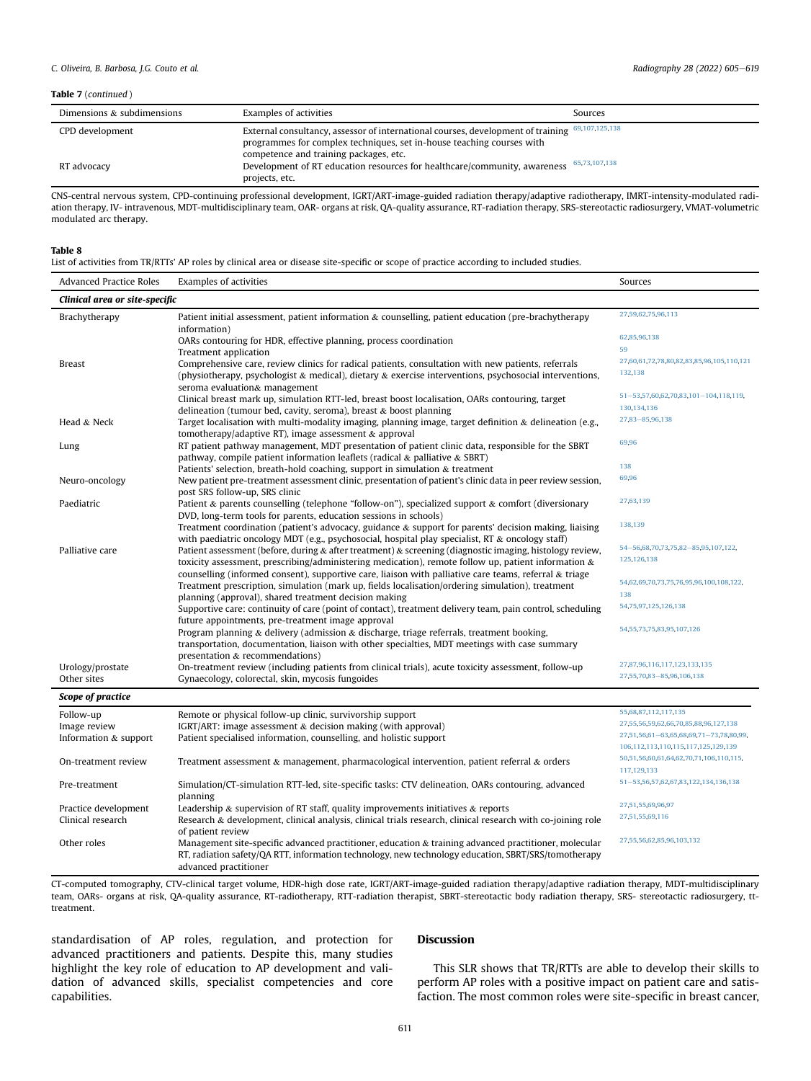## Table 7 (continued )

| Dimensions & subdimensions | Examples of activities                                                                                                                                                                                             | Sources |
|----------------------------|--------------------------------------------------------------------------------------------------------------------------------------------------------------------------------------------------------------------|---------|
| CPD development            | External consultancy, assessor of international courses, development of training 69,107,125,138<br>programmes for complex techniques, set in-house teaching courses with<br>competence and training packages, etc. |         |
| RT advocacy                | Development of RT education resources for healthcare/community, awareness <sup>65,73,107,138</sup><br>projects, etc.                                                                                               |         |

CNS-central nervous system, CPD-continuing professional development, IGRT/ART-image-guided radiation therapy/adaptive radiotherapy, IMRT-intensity-modulated radiation therapy, IV- intravenous, MDT-multidisciplinary team, OAR- organs at risk, QA-quality assurance, RT-radiation therapy, SRS-stereotactic radiosurgery, VMAT-volumetric modulated arc therapy.

#### <span id="page-6-0"></span>Table 8

List of activities from TR/RTTs' AP roles by clinical area or disease site-specific or scope of practice according to included studies.

| <b>Advanced Practice Roles</b> | Examples of activities                                                                                                                                                                                                | Sources                                              |  |
|--------------------------------|-----------------------------------------------------------------------------------------------------------------------------------------------------------------------------------------------------------------------|------------------------------------------------------|--|
| Clinical area or site-specific |                                                                                                                                                                                                                       |                                                      |  |
| Brachytherapy                  | Patient initial assessment, patient information & counselling, patient education (pre-brachytherapy                                                                                                                   | 27,59,62,75,96,113                                   |  |
|                                | information)<br>OARs contouring for HDR, effective planning, process coordination                                                                                                                                     | 62,85,96,138                                         |  |
|                                | Treatment application                                                                                                                                                                                                 | 59                                                   |  |
| <b>Breast</b>                  | Comprehensive care, review clinics for radical patients, consultation with new patients, referrals                                                                                                                    | 27,60,61,72,78,80,82,83,85,96,105,110,121            |  |
|                                | (physiotherapy, psychologist $\&$ medical), dietary $\&$ exercise interventions, psychosocial interventions,                                                                                                          | 132,138                                              |  |
|                                | seroma evaluation& management                                                                                                                                                                                         |                                                      |  |
|                                | Clinical breast mark up, simulation RTT-led, breast boost localisation, OARs contouring, target                                                                                                                       | 51-53,57,60,62,70,83,101-104,118,119,<br>130,134,136 |  |
|                                | delineation (tumour bed, cavity, seroma), breast $\&$ boost planning                                                                                                                                                  | 27,83-85,96,138                                      |  |
| Head & Neck                    | Target localisation with multi-modality imaging, planning image, target definition $\&$ delineation (e.g.,                                                                                                            |                                                      |  |
| Lung                           | tomotherapy/adaptive RT), image assessment & approval<br>RT patient pathway management, MDT presentation of patient clinic data, responsible for the SBRT                                                             | 69,96                                                |  |
|                                | pathway, compile patient information leaflets (radical $\&$ palliative $\&$ SBRT)                                                                                                                                     |                                                      |  |
|                                | Patients' selection, breath-hold coaching, support in simulation & treatment                                                                                                                                          | 138                                                  |  |
| Neuro-oncology                 | New patient pre-treatment assessment clinic, presentation of patient's clinic data in peer review session,                                                                                                            | 69,96                                                |  |
|                                | post SRS follow-up, SRS clinic                                                                                                                                                                                        |                                                      |  |
| Paediatric                     | Patient & parents counselling (telephone "follow-on"), specialized support & comfort (diversionary                                                                                                                    | 27,63,139                                            |  |
|                                | DVD, long-term tools for parents, education sessions in schools)                                                                                                                                                      | 138,139                                              |  |
|                                | Treatment coordination (patient's advocacy, guidance $\&$ support for parents' decision making, liaising                                                                                                              |                                                      |  |
| Palliative care                | with paediatric oncology MDT (e.g., psychosocial, hospital play specialist, RT $\&$ oncology staff)<br>Patient assessment (before, during $\&$ after treatment) $\&$ screening (diagnostic imaging, histology review, | 54-56,68,70,73,75,82-85,95,107,122,                  |  |
|                                | toxicity assessment, prescribing/administering medication), remote follow up, patient information $\&$                                                                                                                | 125, 126, 138                                        |  |
|                                | counselling (informed consent), supportive care, liaison with palliative care teams, referral & triage                                                                                                                |                                                      |  |
|                                | Treatment prescription, simulation (mark up, fields localisation/ordering simulation), treatment                                                                                                                      | 54,62,69,70,73,75,76,95,96,100,108,122,              |  |
|                                | planning (approval), shared treatment decision making                                                                                                                                                                 | 138                                                  |  |
|                                | Supportive care: continuity of care (point of contact), treatment delivery team, pain control, scheduling                                                                                                             | 54,75,97,125,126,138                                 |  |
|                                | future appointments, pre-treatment image approval                                                                                                                                                                     | 54, 55, 73, 75, 83, 95, 107, 126                     |  |
|                                | Program planning & delivery (admission & discharge, triage referrals, treatment booking,                                                                                                                              |                                                      |  |
|                                | transportation, documentation, liaison with other specialties, MDT meetings with case summary<br>presentation & recommendations)                                                                                      |                                                      |  |
| Urology/prostate               | On-treatment review (including patients from clinical trials), acute toxicity assessment, follow-up                                                                                                                   | 27,87,96,116,117,123,133,135                         |  |
| Other sites                    | Gynaecology, colorectal, skin, mycosis fungoides                                                                                                                                                                      | 27,55,70,83-85,96,106,138                            |  |
| Scope of practice              |                                                                                                                                                                                                                       |                                                      |  |
| Follow-up                      | Remote or physical follow-up clinic, survivorship support                                                                                                                                                             | 55,68,87,112,117,135                                 |  |
| Image review                   | IGRT/ART: image assessment $&$ decision making (with approval)                                                                                                                                                        | 27,55,56,59,62,66,70,85,88,96,127,138                |  |
| Information & support          | Patient specialised information, counselling, and holistic support                                                                                                                                                    | 27,51,56,61-63,65,68,69,71-73,78,80,99,              |  |
|                                |                                                                                                                                                                                                                       | 106,112,113,110,115,117,125,129,139                  |  |
| On-treatment review            | Treatment assessment $\&$ management, pharmacological intervention, patient referral $\&$ orders                                                                                                                      | 50,51,56,60,61,64,62,70,71,106,110,115,              |  |
|                                |                                                                                                                                                                                                                       | 117,129,133                                          |  |
| Pre-treatment                  | Simulation/CT-simulation RTT-led, site-specific tasks: CTV delineation, OARs contouring, advanced<br>planning                                                                                                         | 51-53, 56, 57, 62, 67, 83, 122, 134, 136, 138        |  |
| Practice development           | Leadership $\&$ supervision of RT staff, quality improvements initiatives $\&$ reports                                                                                                                                | 27,51,55,69,96,97                                    |  |
| Clinical research              | Research & development, clinical analysis, clinical trials research, clinical research with co-joining role<br>of patient review                                                                                      | 27,51,55,69,116                                      |  |
| Other roles                    | Management site-specific advanced practitioner, education & training advanced practitioner, molecular                                                                                                                 | 27,55,56,62,85,96,103,132                            |  |
|                                | RT, radiation safety/QA RTT, information technology, new technology education, SBRT/SRS/tomotherapy<br>advanced practitioner                                                                                          |                                                      |  |

CT-computed tomography, CTV-clinical target volume, HDR-high dose rate, IGRT/ART-image-guided radiation therapy/adaptive radiation therapy, MDT-multidisciplinary team, OARs- organs at risk, QA-quality assurance, RT-radiotherapy, RTT-radiation therapist, SBRT-stereotactic body radiation therapy, SRS- stereotactic radiosurgery, tttreatment.

standardisation of AP roles, regulation, and protection for advanced practitioners and patients. Despite this, many studies highlight the key role of education to AP development and validation of advanced skills, specialist competencies and core capabilities.

# Discussion

This SLR shows that TR/RTTs are able to develop their skills to perform AP roles with a positive impact on patient care and satisfaction. The most common roles were site-specific in breast cancer,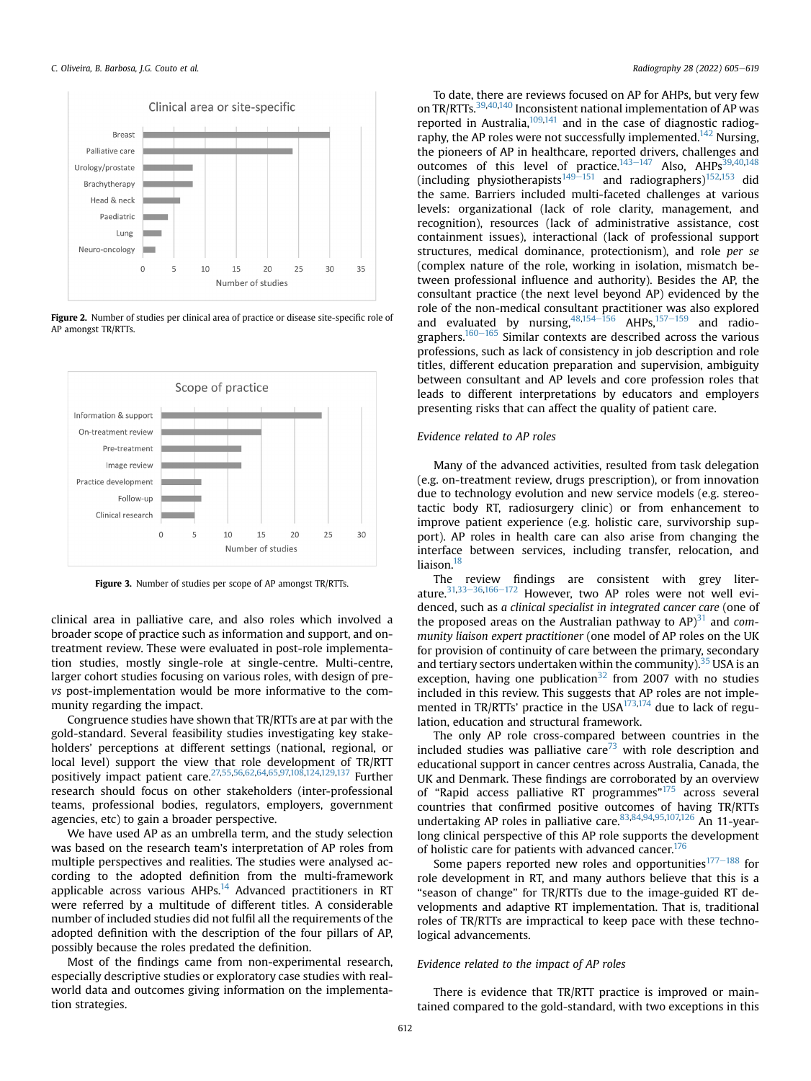<span id="page-7-0"></span>

Figure 2. Number of studies per clinical area of practice or disease site-specific role of AP amongst TR/RTTs.

<span id="page-7-1"></span>

Figure 3. Number of studies per scope of AP amongst TR/RTTs.

clinical area in palliative care, and also roles which involved a broader scope of practice such as information and support, and ontreatment review. These were evaluated in post-role implementation studies, mostly single-role at single-centre. Multi-centre, larger cohort studies focusing on various roles, with design of prevs post-implementation would be more informative to the community regarding the impact.

Congruence studies have shown that TR/RTTs are at par with the gold-standard. Several feasibility studies investigating key stakeholders' perceptions at different settings (national, regional, or local level) support the view that role development of TR/RTT positively impact patient care[.27,](#page-10-19)[55](#page-11-27)[,56,](#page-11-12)[62](#page-11-36),[64,](#page-11-24)[65](#page-11-11),[97,](#page-12-19)[108](#page-12-22),[124,](#page-12-46)[129](#page-12-2),[137](#page-13-5) Further research should focus on other stakeholders (inter-professional teams, professional bodies, regulators, employers, government agencies, etc) to gain a broader perspective.

We have used AP as an umbrella term, and the study selection was based on the research team's interpretation of AP roles from multiple perspectives and realities. The studies were analysed according to the adopted definition from the multi-framework applicable across various  $AHPs$ <sup>14</sup> Advanced practitioners in RT were referred by a multitude of different titles. A considerable number of included studies did not fulfil all the requirements of the adopted definition with the description of the four pillars of AP, possibly because the roles predated the definition.

Most of the findings came from non-experimental research, especially descriptive studies or exploratory case studies with realworld data and outcomes giving information on the implementation strategies.

To date, there are reviews focused on AP for AHPs, but very few on TR/RTTs.[39](#page-11-0)[,40](#page-11-1),[140](#page-13-6) Inconsistent national implementation of AP was reported in Australia, $109,141$  $109,141$  and in the case of diagnostic radiography, the AP roles were not successfully implemented.<sup>142</sup> Nursing, the pioneers of AP in healthcare, reported drivers, challenges and outcomes of this level of practice.<sup>143-[147](#page-13-9)</sup> Also, AHPs<sup>[39](#page-11-0)[,40](#page-11-1),[148](#page-13-10)</sup> (including physiotherapists<sup>[149](#page-13-11)–[151](#page-13-11)</sup> and radiographers)<sup>[152,](#page-13-12)[153](#page-13-13)</sup> did the same. Barriers included multi-faceted challenges at various levels: organizational (lack of role clarity, management, and recognition), resources (lack of administrative assistance, cost containment issues), interactional (lack of professional support structures, medical dominance, protectionism), and role per se (complex nature of the role, working in isolation, mismatch between professional influence and authority). Besides the AP, the consultant practice (the next level beyond AP) evidenced by the role of the non-medical consultant practitioner was also explored and evaluated by nursing,  $48,154-156$  $48,154-156$  $48,154-156$  $48,154-156$  AHPs,  $157-159$  $157-159$  and radio-graphers.<sup>[160](#page-13-16)-[165](#page-13-16)</sup> Similar contexts are described across the various professions, such as lack of consistency in job description and role titles, different education preparation and supervision, ambiguity between consultant and AP levels and core profession roles that leads to different interpretations by educators and employers presenting risks that can affect the quality of patient care.

# Evidence related to AP roles

Many of the advanced activities, resulted from task delegation (e.g. on-treatment review, drugs prescription), or from innovation due to technology evolution and new service models (e.g. stereotactic body RT, radiosurgery clinic) or from enhancement to improve patient experience (e.g. holistic care, survivorship support). AP roles in health care can also arise from changing the interface between services, including transfer, relocation, and liaison.<sup>18</sup>

The review findings are consistent with grey literature. $31,33-36,166-172$  $31,33-36,166-172$  $31,33-36,166-172$  $31,33-36,166-172$  $31,33-36,166-172$  $31,33-36,166-172$  $31,33-36,166-172$  However, two AP roles were not well evidenced, such as a clinical specialist in integrated cancer care (one of the proposed areas on the Australian pathway to  $AP$ <sup>31</sup> and community liaison expert practitioner (one model of AP roles on the UK for provision of continuity of care between the primary, secondary and tertiary sectors undertaken within the community). $35$  USA is an exception, having one publication<sup>[32](#page-10-23)</sup> from 2007 with no studies included in this review. This suggests that AP roles are not implemented in TR/RTTs' practice in the  $USA^{173,174}$  $USA^{173,174}$  $USA^{173,174}$  $USA^{173,174}$  due to lack of regulation, education and structural framework.

The only AP role cross-compared between countries in the included studies was palliative care $73$  with role description and educational support in cancer centres across Australia, Canada, the UK and Denmark. These findings are corroborated by an overview of "Rapid access palliative RT programmes"<sup>[175](#page-13-20)</sup> across several countries that confirmed positive outcomes of having TR/RTTs undertaking AP roles in palliative care.  $83,84,94,95,107,126$  $83,84,94,95,107,126$  $83,84,94,95,107,126$  $83,84,94,95,107,126$  $83,84,94,95,107,126$  $83,84,94,95,107,126$  $83,84,94,95,107,126$  An 11-yearlong clinical perspective of this AP role supports the development of holistic care for patients with advanced cancer.<sup>176</sup>

Some papers reported new roles and opportunities $177-188$  $177-188$  $177-188$  for role development in RT, and many authors believe that this is a "season of change" for TR/RTTs due to the image-guided RT developments and adaptive RT implementation. That is, traditional roles of TR/RTTs are impractical to keep pace with these technological advancements.

# Evidence related to the impact of AP roles

There is evidence that TR/RTT practice is improved or maintained compared to the gold-standard, with two exceptions in this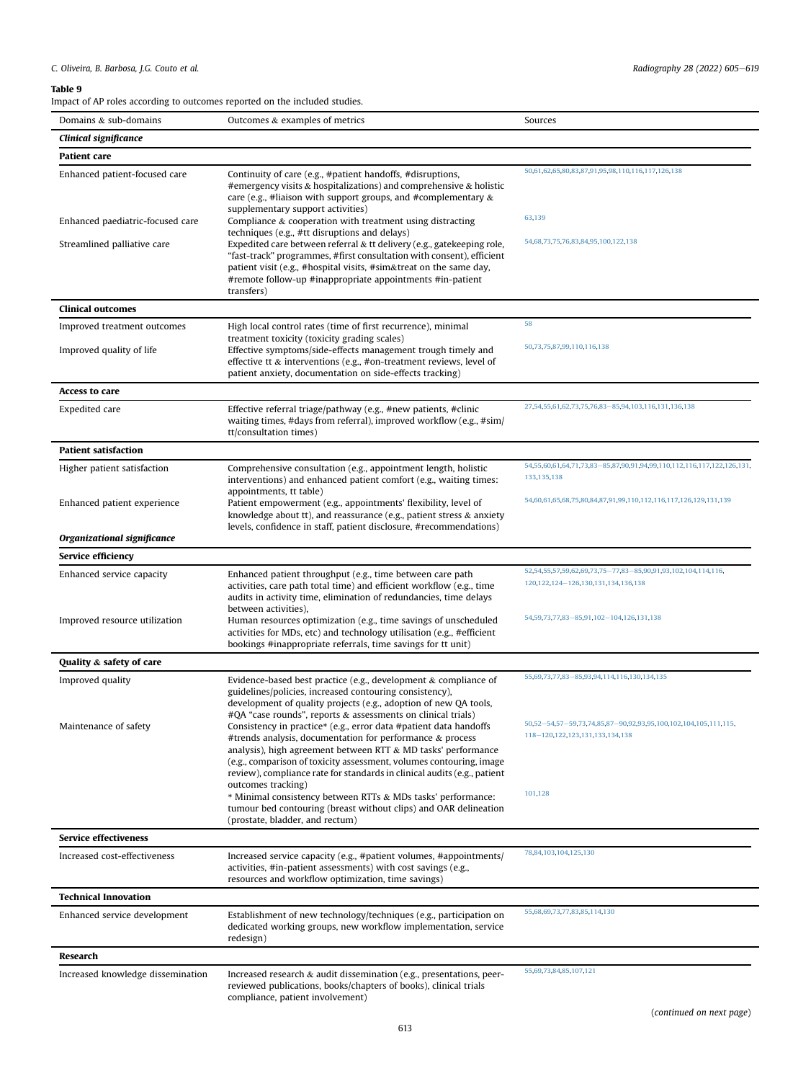<span id="page-8-0"></span>Impact of AP roles according to outcomes reported on the included studies.

| Domains & sub-domains             | Outcomes & examples of metrics                                                                                                                                                                                                                                                                                                                                              | Sources                                                                                                       |
|-----------------------------------|-----------------------------------------------------------------------------------------------------------------------------------------------------------------------------------------------------------------------------------------------------------------------------------------------------------------------------------------------------------------------------|---------------------------------------------------------------------------------------------------------------|
| Clinical significance             |                                                                                                                                                                                                                                                                                                                                                                             |                                                                                                               |
| <b>Patient care</b>               |                                                                                                                                                                                                                                                                                                                                                                             |                                                                                                               |
| Enhanced patient-focused care     | Continuity of care (e.g., #patient handoffs, #disruptions,<br>#emergency visits $\&$ hospitalizations) and comprehensive $\&$ holistic<br>care (e.g., #liaison with support groups, and #complementary $\&$                                                                                                                                                                 | 50,61,62,65,80,83,87,91,95,98,110,116,117,126,138                                                             |
| Enhanced paediatric-focused care  | supplementary support activities)<br>Compliance & cooperation with treatment using distracting<br>techniques (e.g., #tt disruptions and delays)                                                                                                                                                                                                                             | 63,139                                                                                                        |
| Streamlined palliative care       | Expedited care between referral & tt delivery (e.g., gatekeeping role,<br>"fast-track" programmes, #first consultation with consent), efficient<br>patient visit (e.g., #hospital visits, #sim&treat on the same day,<br>#remote follow-up #inappropriate appointments #in-patient<br>transfers)                                                                            | 54,68,73,75,76,83,84,95,100,122,138                                                                           |
| <b>Clinical outcomes</b>          |                                                                                                                                                                                                                                                                                                                                                                             |                                                                                                               |
| Improved treatment outcomes       | High local control rates (time of first recurrence), minimal                                                                                                                                                                                                                                                                                                                | 58                                                                                                            |
| Improved quality of life          | treatment toxicity (toxicity grading scales)<br>Effective symptoms/side-effects management trough timely and<br>effective tt $\&$ interventions (e.g., #on-treatment reviews, level of<br>patient anxiety, documentation on side-effects tracking)                                                                                                                          | 50,73,75,87,99,110,116,138                                                                                    |
| <b>Access to care</b>             |                                                                                                                                                                                                                                                                                                                                                                             |                                                                                                               |
| Expedited care                    | Effective referral triage/pathway (e.g., #new patients, #clinic<br>waiting times, #days from referral), improved workflow (e.g., #sim/<br>tt/consultation times)                                                                                                                                                                                                            | 27,54,55,61,62,73,75,76,83-85,94,103,116,131,136,138                                                          |
| <b>Patient satisfaction</b>       |                                                                                                                                                                                                                                                                                                                                                                             |                                                                                                               |
| Higher patient satisfaction       | Comprehensive consultation (e.g., appointment length, holistic<br>interventions) and enhanced patient comfort (e.g., waiting times:                                                                                                                                                                                                                                         | 54,55,60,61,64,71,73,83-85,87,90,91,94,99,110,112,116,117,122,126,131,<br>133, 135, 138                       |
| Enhanced patient experience       | appointments, tt table)<br>Patient empowerment (e.g., appointments' flexibility, level of<br>knowledge about tt), and reassurance (e.g., patient stress $\&$ anxiety<br>levels, confidence in staff, patient disclosure, #recommendations)                                                                                                                                  | 54,60,61,65,68,75,80,84,87,91,99,110,112,116,117,126,129,131,139                                              |
| Organizational significance       |                                                                                                                                                                                                                                                                                                                                                                             |                                                                                                               |
| Service efficiency                |                                                                                                                                                                                                                                                                                                                                                                             |                                                                                                               |
| Enhanced service capacity         | Enhanced patient throughput (e.g., time between care path<br>activities, care path total time) and efficient workflow (e.g., time<br>audits in activity time, elimination of redundancies, time delays<br>between activities),                                                                                                                                              | 52,54,55,57,59,62,69,73,75-77,83-85,90,91,93,102,104,114,116,<br>120, 122, 124 - 126, 130, 131, 134, 136, 138 |
| Improved resource utilization     | Human resources optimization (e.g., time savings of unscheduled<br>activities for MDs, etc) and technology utilisation (e.g., #efficient<br>bookings #inappropriate referrals, time savings for tt unit)                                                                                                                                                                    | 54, 59, 73, 77, 83 - 85, 91, 102 - 104, 126, 131, 138                                                         |
| Quality & safety of care          |                                                                                                                                                                                                                                                                                                                                                                             |                                                                                                               |
| Improved quality                  | Evidence-based best practice (e.g., development $&$ compliance of<br>guidelines/policies, increased contouring consistency),<br>development of quality projects (e.g., adoption of new QA tools,<br>#QA "case rounds", reports & assessments on clinical trials)                                                                                                            | 55,69,73,77,83-85,93,94,114,116,130,134,135                                                                   |
| Maintenance of safety             | Consistency in practice* (e.g., error data #patient data handoffs<br>#trends analysis, documentation for performance $\&$ process<br>analysis), high agreement between RTT & MD tasks' performance<br>(e.g., comparison of toxicity assessment, volumes contouring, image<br>review), compliance rate for standards in clinical audits (e.g., patient<br>outcomes tracking) | 50,52-54,57-59,73,74,85,87-90,92,93,95,100,102,104,105,111,115,<br>118-120.122.123.131.133.134.138            |
|                                   | * Minimal consistency between RTTs & MDs tasks' performance:<br>tumour bed contouring (breast without clips) and OAR delineation<br>(prostate, bladder, and rectum)                                                                                                                                                                                                         | 101,128                                                                                                       |
| <b>Service effectiveness</b>      |                                                                                                                                                                                                                                                                                                                                                                             |                                                                                                               |
| Increased cost-effectiveness      | Increased service capacity (e.g., #patient volumes, #appointments/<br>activities, #in-patient assessments) with cost savings (e.g.,<br>resources and workflow optimization, time savings)                                                                                                                                                                                   | 78,84,103,104,125,130                                                                                         |
| <b>Technical Innovation</b>       |                                                                                                                                                                                                                                                                                                                                                                             |                                                                                                               |
| Enhanced service development      | Establishment of new technology/techniques (e.g., participation on<br>dedicated working groups, new workflow implementation, service<br>redesign)                                                                                                                                                                                                                           | 55,68,69,73,77,83,85,114,130                                                                                  |
| Research                          |                                                                                                                                                                                                                                                                                                                                                                             |                                                                                                               |
| Increased knowledge dissemination | Increased research & audit dissemination (e.g., presentations, peer-<br>reviewed publications, books/chapters of books), clinical trials<br>compliance, patient involvement)                                                                                                                                                                                                | 55,69,73,84,85,107,121                                                                                        |
|                                   |                                                                                                                                                                                                                                                                                                                                                                             | (continued on next page)                                                                                      |

613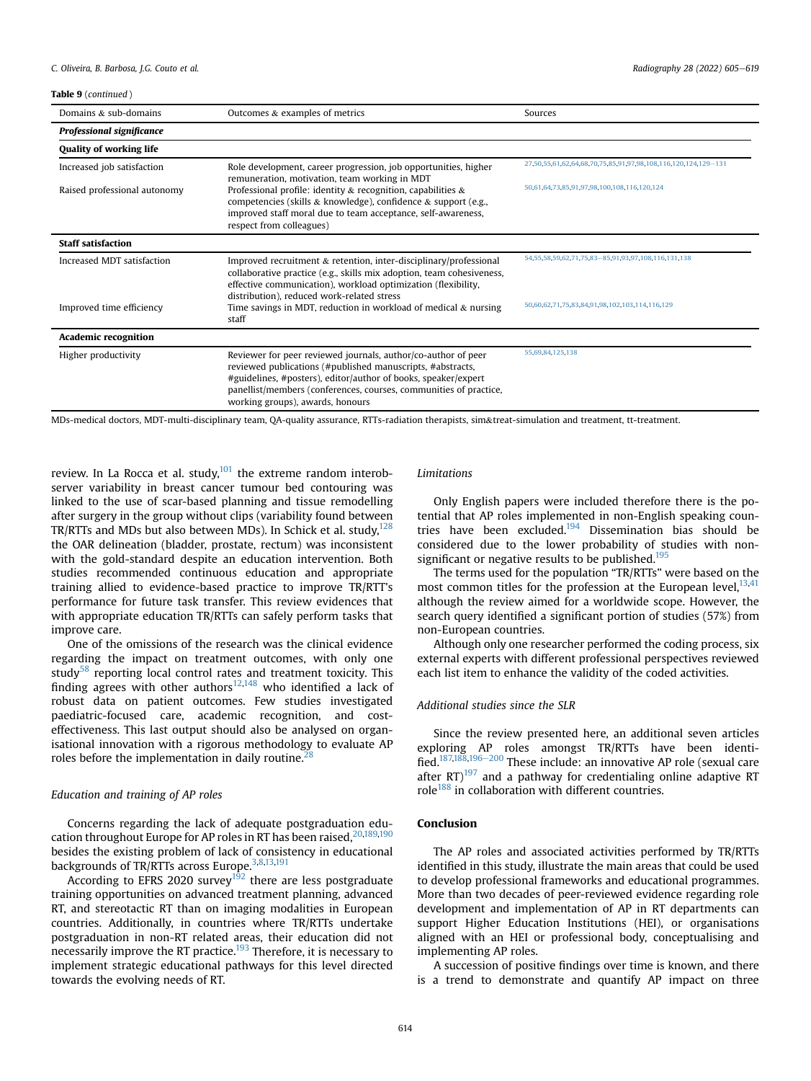| Domains $&$ sub-domains          | Outcomes & examples of metrics                                                                                                                                                                                                                                                                         | Sources                                                        |
|----------------------------------|--------------------------------------------------------------------------------------------------------------------------------------------------------------------------------------------------------------------------------------------------------------------------------------------------------|----------------------------------------------------------------|
| <b>Professional significance</b> |                                                                                                                                                                                                                                                                                                        |                                                                |
| <b>Quality of working life</b>   |                                                                                                                                                                                                                                                                                                        |                                                                |
| Increased job satisfaction       | Role development, career progression, job opportunities, higher<br>remuneration, motivation, team working in MDT                                                                                                                                                                                       | 27,50,55,61,62,64,68,70,75,85,91,97,98,108,116,120,124,129-131 |
| Raised professional autonomy     | Professional profile: identity & recognition, capabilities $\&$<br>competencies (skills & knowledge), confidence & support (e.g.,<br>improved staff moral due to team acceptance, self-awareness,<br>respect from colleagues)                                                                          | 50,61,64,73,85,91,97,98,100,108,116,120,124                    |
| <b>Staff satisfaction</b>        |                                                                                                                                                                                                                                                                                                        |                                                                |
| Increased MDT satisfaction       | Improved recruitment & retention, inter-disciplinary/professional<br>collaborative practice (e.g., skills mix adoption, team cohesiveness,<br>effective communication), workload optimization (flexibility,<br>distribution), reduced work-related stress                                              | 54,55,58,59,62,71,75,83-85,91,93,97,108,116,131,138            |
| Improved time efficiency         | Time savings in MDT, reduction in workload of medical $&$ nursing<br>staff                                                                                                                                                                                                                             | 50,60,62,71,75,83,84,91,98,102,103,114,116,129                 |
| <b>Academic recognition</b>      |                                                                                                                                                                                                                                                                                                        |                                                                |
| Higher productivity              | Reviewer for peer reviewed journals, author/co-author of peer<br>reviewed publications (#published manuscripts, #abstracts,<br>#guidelines, #posters), editor/author of books, speaker/expert<br>panellist/members (conferences, courses, communities of practice,<br>working groups), awards, honours | 55,69,84,125,138                                               |

MDs-medical doctors, MDT-multi-disciplinary team, QA-quality assurance, RTTs-radiation therapists, sim&treat-simulation and treatment, tt-treatment.

review. In La Rocca et al. study, $101$  the extreme random interobserver variability in breast cancer tumour bed contouring was linked to the use of scar-based planning and tissue remodelling after surgery in the group without clips (variability found between TR/RTTs and MDs but also between MDs). In Schick et al. study,  $128$ the OAR delineation (bladder, prostate, rectum) was inconsistent with the gold-standard despite an education intervention. Both studies recommended continuous education and appropriate training allied to evidence-based practice to improve TR/RTT's performance for future task transfer. This review evidences that with appropriate education TR/RTTs can safely perform tasks that improve care.

One of the omissions of the research was the clinical evidence regarding the impact on treatment outcomes, with only one study $58$  reporting local control rates and treatment toxicity. This finding agrees with other authors<sup>12[,148](#page-13-10)</sup> who identified a lack of robust data on patient outcomes. Few studies investigated paediatric-focused care, academic recognition, and costeffectiveness. This last output should also be analysed on organisational innovation with a rigorous methodology to evaluate AP roles before the implementation in daily routine. $<sup>2</sup>$ </sup>

## Education and training of AP roles

Concerns regarding the lack of adequate postgraduation edu-cation throughout Europe for AP roles in RT has been raised, [20](#page-10-10),[189](#page-14-0),[190](#page-14-1) besides the existing problem of lack of consistency in educational backgrounds of TR/RTTs across Europe.<sup>3,[8,](#page-10-24)[13](#page-10-4),[191](#page-14-2)</sup>

According to EFRS 2020 survey<sup>192</sup> there are less postgraduate training opportunities on advanced treatment planning, advanced RT, and stereotactic RT than on imaging modalities in European countries. Additionally, in countries where TR/RTTs undertake postgraduation in non-RT related areas, their education did not necessarily improve the RT practice.<sup>193</sup> Therefore, it is necessary to implement strategic educational pathways for this level directed towards the evolving needs of RT.

## Limitations

Only English papers were included therefore there is the potential that AP roles implemented in non-English speaking countries have been excluded.<sup>194</sup> Dissemination bias should be considered due to the lower probability of studies with nonsignificant or negative results to be published. $195$ 

The terms used for the population "TR/RTTs" were based on the most common titles for the profession at the European level,  $13,41$  $13,41$ although the review aimed for a worldwide scope. However, the search query identified a significant portion of studies (57%) from non-European countries.

Although only one researcher performed the coding process, six external experts with different professional perspectives reviewed each list item to enhance the validity of the coded activities.

## Additional studies since the SLR

Since the review presented here, an additional seven articles exploring AP roles amongst TR/RTTs have been identi-fied.<sup>[187,](#page-14-7)[188](#page-14-8),[196](#page-14-9)-[200](#page-14-9)</sup> These include: an innovative AP role (sexual care after  $RT$ )<sup>[197](#page-14-10)</sup> and a pathway for credentialing online adaptive RT role $188$  in collaboration with different countries.

## Conclusion

The AP roles and associated activities performed by TR/RTTs identified in this study, illustrate the main areas that could be used to develop professional frameworks and educational programmes. More than two decades of peer-reviewed evidence regarding role development and implementation of AP in RT departments can support Higher Education Institutions (HEI), or organisations aligned with an HEI or professional body, conceptualising and implementing AP roles.

A succession of positive findings over time is known, and there is a trend to demonstrate and quantify AP impact on three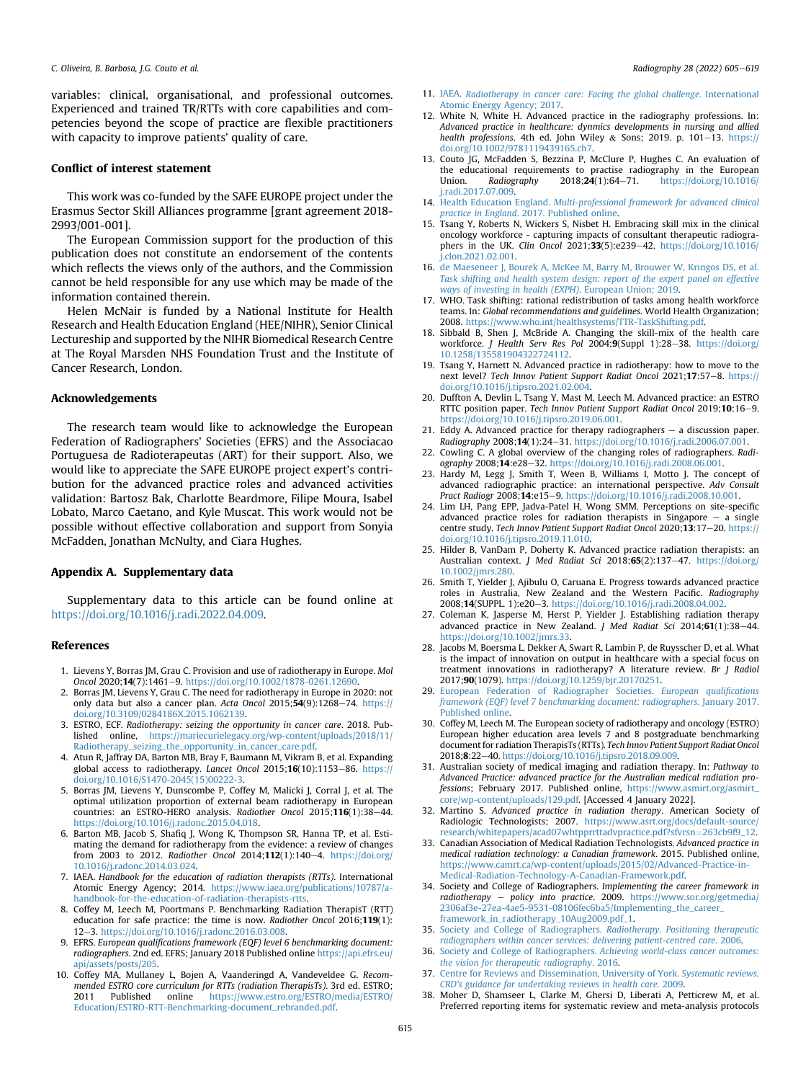variables: clinical, organisational, and professional outcomes. Experienced and trained TR/RTTs with core capabilities and competencies beyond the scope of practice are flexible practitioners with capacity to improve patients' quality of care.

## Conflict of interest statement

This work was co-funded by the SAFE EUROPE project under the Erasmus Sector Skill Alliances programme [grant agreement 2018- 2993/001-001].

The European Commission support for the production of this publication does not constitute an endorsement of the contents which reflects the views only of the authors, and the Commission cannot be held responsible for any use which may be made of the information contained therein.

Helen McNair is funded by a National Institute for Health Research and Health Education England (HEE/NIHR), Senior Clinical Lectureship and supported by the NIHR Biomedical Research Centre at The Royal Marsden NHS Foundation Trust and the Institute of Cancer Research, London.

## Acknowledgements

The research team would like to acknowledge the European Federation of Radiographers' Societies (EFRS) and the Associacao Portuguesa de Radioterapeutas (ART) for their support. Also, we would like to appreciate the SAFE EUROPE project expert's contribution for the advanced practice roles and advanced activities validation: Bartosz Bak, Charlotte Beardmore, Filipe Moura, Isabel Lobato, Marco Caetano, and Kyle Muscat. This work would not be possible without effective collaboration and support from Sonyia McFadden, Jonathan McNulty, and Ciara Hughes.

## Appendix A. Supplementary data

Supplementary data to this article can be found online at [https://doi.org/10.1016/j.radi.2022.04.009.](https://doi.org/10.1016/j.radi.2022.04.009)

#### References

- <span id="page-10-0"></span>1. Lievens Y, Borras JM, Grau C. Provision and use of radiotherapy in Europe. Mol Oncol 2020;14(7):1461e9. <https://doi.org/10.1002/1878-0261.12690>.
- 2. Borras JM, Lievens Y, Grau C. The need for radiotherapy in Europe in 2020: not only data but also a cancer plan. Acta Oncol  $2015$ ; $54(9)$ : $1268-74$ . [https://](https://doi.org/10.3109/0284186X.2015.1062139) [doi.org/10.3109/0284186X.2015.1062139.](https://doi.org/10.3109/0284186X.2015.1062139)
- <span id="page-10-7"></span>3. ESTRO, ECF. Radiotherapy: seizing the opportunity in cancer care. 2018. Published online, [https://mariecurielegacy.org/wp-content/uploads/2018/11/](https://mariecurielegacy.org/wp-content/uploads/2018/11/Radiotherapy_seizing_the_opportunity_in_cancer_care.pdf) [Radiotherapy\\_seizing\\_the\\_opportunity\\_in\\_cancer\\_care.pdf](https://mariecurielegacy.org/wp-content/uploads/2018/11/Radiotherapy_seizing_the_opportunity_in_cancer_care.pdf).
- 4. Atun R, Jaffray DA, Barton MB, Bray F, Baumann M, Vikram B, et al. Expanding global access to radiotherapy. Lancet Oncol 2015;16(10):1153-86. https:/ [doi.org/10.1016/S1470-2045\(15\)00222-3](https://doi.org/10.1016/S1470-2045(15)00222-3).
- <span id="page-10-8"></span>5. Borras JM, Lievens Y, Dunscombe P, Coffey M, Malicki J, Corral J, et al. The optimal utilization proportion of external beam radiotherapy in European countries: an ESTRO-HERO analysis. Radiother Oncol 2015;116(1):38-44. [https://doi.org/10.1016/j.radonc.2015.04.018.](https://doi.org/10.1016/j.radonc.2015.04.018)
- 6. Barton MB, Jacob S, Shafiq J, Wong K, Thompson SR, Hanna TP, et al. Estimating the demand for radiotherapy from the evidence: a review of changes from 2003 to 2012. Radiother Oncol 2014;112(1):140-4. [https://doi.org/](https://doi.org/10.1016/j.radonc.2014.03.024) [10.1016/j.radonc.2014.03.024.](https://doi.org/10.1016/j.radonc.2014.03.024)
- <span id="page-10-1"></span>7. IAEA. Handbook for the education of radiation therapists (RTTs). International Atomic Energy Agency; 2014. [https://www.iaea.org/publications/10787/a](https://www.iaea.org/publications/10787/a-handbook-for-the-education-of-radiation-therapists-rtts)[handbook-for-the-education-of-radiation-therapists-rtts](https://www.iaea.org/publications/10787/a-handbook-for-the-education-of-radiation-therapists-rtts).
- <span id="page-10-24"></span>8. Coffey M, Leech M, Poortmans P. Benchmarking Radiation TherapisT (RTT) education for safe practice: the time is now. Radiother Oncol 2016;119(1): 12-3. [https://doi.org/10.1016/j.radonc.2016.03.008.](https://doi.org/10.1016/j.radonc.2016.03.008)
- 9. EFRS. European qualifications framework (EQF) level 6 benchmarking document: radiographers. 2nd ed. EFRS; January 2018 Published online [https://api.efrs.eu/](https://api.efrs.eu/api/assets/posts/205) pi/assets/posts/205.
- 10. Coffey MA, Mullaney L, Bojen A, Vaanderingd A, Vandeveldee G. Recommended ESTRO core curriculum for RTTs (radiation TherapisTs). 3rd ed. ESTRO; 2011 Published online [https://www.estro.org/ESTRO/media/ESTRO/](https://www.estro.org/ESTRO/media/ESTRO/Education/ESTRO-RTT-Benchmarking-document_rebranded.pdf) [Education/ESTRO-RTT-Benchmarking-document\\_rebranded.pdf](https://www.estro.org/ESTRO/media/ESTRO/Education/ESTRO-RTT-Benchmarking-document_rebranded.pdf).
- <span id="page-10-2"></span>11. IAEA. [Radiotherapy in cancer care: Facing the global challenge](http://refhub.elsevier.com/S1078-8174(22)00058-X/sref11). International [Atomic Energy Agency; 2017](http://refhub.elsevier.com/S1078-8174(22)00058-X/sref11).
- <span id="page-10-3"></span>12. White N, White H. Advanced practice in the radiography professions. In: Advanced practice in healthcare: dynmics developments in nursing and allied health professions. 4th ed. John Wiley & Sons; 2019. p. 101-13. [https://](https://doi.org/10.1002/9781119439165.ch7) [doi.org/10.1002/9781119439165.ch7](https://doi.org/10.1002/9781119439165.ch7).
- <span id="page-10-4"></span>13. Couto JG, McFadden S, Bezzina P, McClure P, Hughes C. An evaluation of the educational requirements to practise radiography in the European<br>
Union. Radiography 2018:24(1):64-71. https://doi.org/10.1016/  $htts://doi.org/10.1016/$ [j.radi.2017.07.009](https://doi.org/10.1016/j.radi.2017.07.009).
- <span id="page-10-5"></span>14. Health Education England. [Multi-professional framework for advanced clinical](http://refhub.elsevier.com/S1078-8174(22)00058-X/sref14) practice in England[. 2017. Published online](http://refhub.elsevier.com/S1078-8174(22)00058-X/sref14).
- <span id="page-10-6"></span>15. Tsang Y, Roberts N, Wickers S, Nisbet H. Embracing skill mix in the clinical oncology workforce - capturing impacts of consultant therapeutic radiographers in the UK. Clin Oncol 2021;33(5):e239-42. [https://doi.org/10.1016/](https://doi.org/10.1016/j.clon.2021.02.001) [j.clon.2021.02.001](https://doi.org/10.1016/j.clon.2021.02.001).
- 16. [de Maeseneer J, Bourek A, McKee M, Barry M, Brouwer W, Kringos DS, et al.](http://refhub.elsevier.com/S1078-8174(22)00058-X/sref16) [Task shifting and health system design: report of the expert panel on effective](http://refhub.elsevier.com/S1078-8174(22)00058-X/sref16) [ways of investing in health \(EXPH\)](http://refhub.elsevier.com/S1078-8174(22)00058-X/sref16). European Union; 2019.
- 17. WHO. Task shifting: rational redistribution of tasks among health workforce teams. In: Global recommendations and guidelines. World Health Organization; 2008. <https://www.who.int/healthsystems/TTR-TaskShifting.pdf>.
- <span id="page-10-20"></span>18. Sibbald B, Shen J, McBride A. Changing the skill-mix of the health care workforce. J Health Serv Res Pol 2004;9(Suppl 1):28-38. [https://doi.org/](https://doi.org/10.1258/135581904322724112) [10.1258/135581904322724112](https://doi.org/10.1258/135581904322724112).
- <span id="page-10-9"></span>19. Tsang Y, Harnett N. Advanced practice in radiotherapy: how to move to the next level? Tech Innov Patient Support Radiat Oncol 2021;17:57-8. [https://](https://doi.org/10.1016/j.tipsro.2021.02.004) [doi.org/10.1016/j.tipsro.2021.02.004](https://doi.org/10.1016/j.tipsro.2021.02.004).
- <span id="page-10-10"></span>20. Duffton A, Devlin L, Tsang Y, Mast M, Leech M. Advanced practice: an ESTRO RTTC position paper. Tech Innov Patient Support Radiat Oncol 2019;10:16-9. [https://doi.org/10.1016/j.tipsro.2019.06.001.](https://doi.org/10.1016/j.tipsro.2019.06.001)
- <span id="page-10-11"></span>21. Eddy A. Advanced practice for therapy radiographers  $-$  a discussion paper. Radiography 2008;14(1):24-31. [https://doi.org/10.1016/j.radi.2006.07.001.](https://doi.org/10.1016/j.radi.2006.07.001)
- <span id="page-10-12"></span>22. Cowling C. A global overview of the changing roles of radiographers. Radiography 2008;14:e28-32. [https://doi.org/10.1016/j.radi.2008.06.001.](https://doi.org/10.1016/j.radi.2008.06.001)
- 23. Hardy M, Legg J, Smith T, Ween B, Williams I, Motto J. The concept of advanced radiographic practice: an international perspective. Adv Consult Pract Radiogr 2008;14:e15-9. [https://doi.org/10.1016/j.radi.2008.10.001.](https://doi.org/10.1016/j.radi.2008.10.001)<br>24. Lim LH, Pang EPP, Jadva-Patel H, Wong SMM. Perceptions on site-specific
- advanced practice roles for radiation therapists in Singapore  $-$  a single centre study. Tech Innov Patient Support Radiat Oncol 2020;13:17-20. [https://](https://doi.org/10.1016/j.tipsro.2019.11.010) [doi.org/10.1016/j.tipsro.2019.11.010](https://doi.org/10.1016/j.tipsro.2019.11.010).
- 25. Hilder B, VanDam P, Doherty K. Advanced practice radiation therapists: an Australian context. J Med Radiat Sci 2018;65(2):137-47. [https://doi.org/](https://doi.org/10.1002/jmrs.280) [10.1002/jmrs.280](https://doi.org/10.1002/jmrs.280).
- 26. Smith T, Yielder J, Ajibulu O, Caruana E. Progress towards advanced practice roles in Australia, New Zealand and the Western Pacific. Radiography 2008;14(SUPPL. 1):e20-3. <https://doi.org/10.1016/j.radi.2008.04.002>.
- <span id="page-10-19"></span>27. Coleman K, Jasperse M, Herst P, Yielder J. Establishing radiation therapy advanced practice in New Zealand. J Med Radiat Sci 2014;61(1):38-44. [https://doi.org/10.1002/jmrs.33.](https://doi.org/10.1002/jmrs.33)
- <span id="page-10-13"></span>28. Jacobs M, Boersma L, Dekker A, Swart R, Lambin P, de Ruysscher D, et al. What is the impact of innovation on output in healthcare with a special focus on treatment innovations in radiotherapy? A literature review. Br J Radiol 2017;90(1079). [https://doi.org/10.1259/bjr.20170251.](https://doi.org/10.1259/bjr.20170251)
- <span id="page-10-14"></span>29. [European Federation of Radiographer Societies.](http://refhub.elsevier.com/S1078-8174(22)00058-X/sref29) European qualifications [framework \(EQF\) level 7 benchmarking document: radiographers](http://refhub.elsevier.com/S1078-8174(22)00058-X/sref29). January 2017. [Published online](http://refhub.elsevier.com/S1078-8174(22)00058-X/sref29).
- <span id="page-10-15"></span>30. Coffey M, Leech M. The European society of radiotherapy and oncology (ESTRO) European higher education area levels 7 and 8 postgraduate benchmarking document for radiation TherapisTs (RTTs). Tech Innov Patient Support Radiat Oncol 2018;8:22-40. <https://doi.org/10.1016/j.tipsro.2018.09.009>.
- <span id="page-10-16"></span>31. Australian society of medical imaging and radiation therapy. In: Pathway to Advanced Practice: advanced practice for the Australian medical radiation professions; February 2017. Published online, [https://www.asmirt.org/asmirt\\_](https://www.asmirt.org/asmirt_core/wp-content/uploads/129.pdf) [core/wp-content/uploads/129.pdf](https://www.asmirt.org/asmirt_core/wp-content/uploads/129.pdf). [Accessed 4 January 2022].
- <span id="page-10-23"></span>32. Martino S. Advanced practice in radiation therapy. American Society of Radiologic Technologists; 2007. [https://www.asrt.org/docs/default-source/](https://www.asrt.org/docs/default-source/research/whitepapers/acad07whtpprrttadvpractice.pdf?sfvrsn=263cb9f9_12) [research/whitepapers/acad07whtpprrttadvpractice.pdf?sfvrsn](https://www.asrt.org/docs/default-source/research/whitepapers/acad07whtpprrttadvpractice.pdf?sfvrsn=263cb9f9_12)=[263cb9f9\\_12](https://www.asrt.org/docs/default-source/research/whitepapers/acad07whtpprrttadvpractice.pdf?sfvrsn=263cb9f9_12).
- <span id="page-10-21"></span>33. Canadian Association of Medical Radiation Technologists. Advanced practice in medical radiation technology: a Canadian framework. 2015. Published online, [https://www.camrt.ca/wp-content/uploads/2015/02/Advanced-Practice-in-](https://www.camrt.ca/wp-content/uploads/2015/02/Advanced-Practice-in-Medical-Radiation-Technology-A-Canadian-Framework.pdf)[Medical-Radiation-Technology-A-Canadian-Framework.pdf.](https://www.camrt.ca/wp-content/uploads/2015/02/Advanced-Practice-in-Medical-Radiation-Technology-A-Canadian-Framework.pdf)
- 34. Society and College of Radiographers. Implementing the career framework in radiotherapy - policy into practice. 2009. [https://www.sor.org/getmedia/](https://www.sor.org/getmedia/2306af3e-27ea-4ae5-9531-08106fec6ba5/Implementing_the_career_framework_in_radiotherapy_10Aug2009.pdf_1) [2306af3e-27ea-4ae5-9531-08106fec6ba5/Implementing\\_the\\_career\\_](https://www.sor.org/getmedia/2306af3e-27ea-4ae5-9531-08106fec6ba5/Implementing_the_career_framework_in_radiotherapy_10Aug2009.pdf_1) [framework\\_in\\_radiotherapy\\_10Aug2009.pdf\\_1](https://www.sor.org/getmedia/2306af3e-27ea-4ae5-9531-08106fec6ba5/Implementing_the_career_framework_in_radiotherapy_10Aug2009.pdf_1).
- <span id="page-10-22"></span>35. [Society and College of Radiographers.](http://refhub.elsevier.com/S1078-8174(22)00058-X/sref35) Radiotherapy. Positioning therapeutic [radiographers within cancer services: delivering patient-centred care](http://refhub.elsevier.com/S1078-8174(22)00058-X/sref35). 2006.
- 36. Society and College of Radiographers. [Achieving world-class cancer outcomes:](http://refhub.elsevier.com/S1078-8174(22)00058-X/sref36) [the vision for therapeutic radiography](http://refhub.elsevier.com/S1078-8174(22)00058-X/sref36). 2016.
- <span id="page-10-17"></span>37. [Centre for Reviews and Dissemination, University of York.](http://refhub.elsevier.com/S1078-8174(22)00058-X/sref37) Systematic reviews. [CRD's guidance for undertaking reviews in health care](http://refhub.elsevier.com/S1078-8174(22)00058-X/sref37). 2009.
- <span id="page-10-18"></span>38. Moher D, Shamseer L, Clarke M, Ghersi D, Liberati A, Petticrew M, et al. Preferred reporting items for systematic review and meta-analysis protocols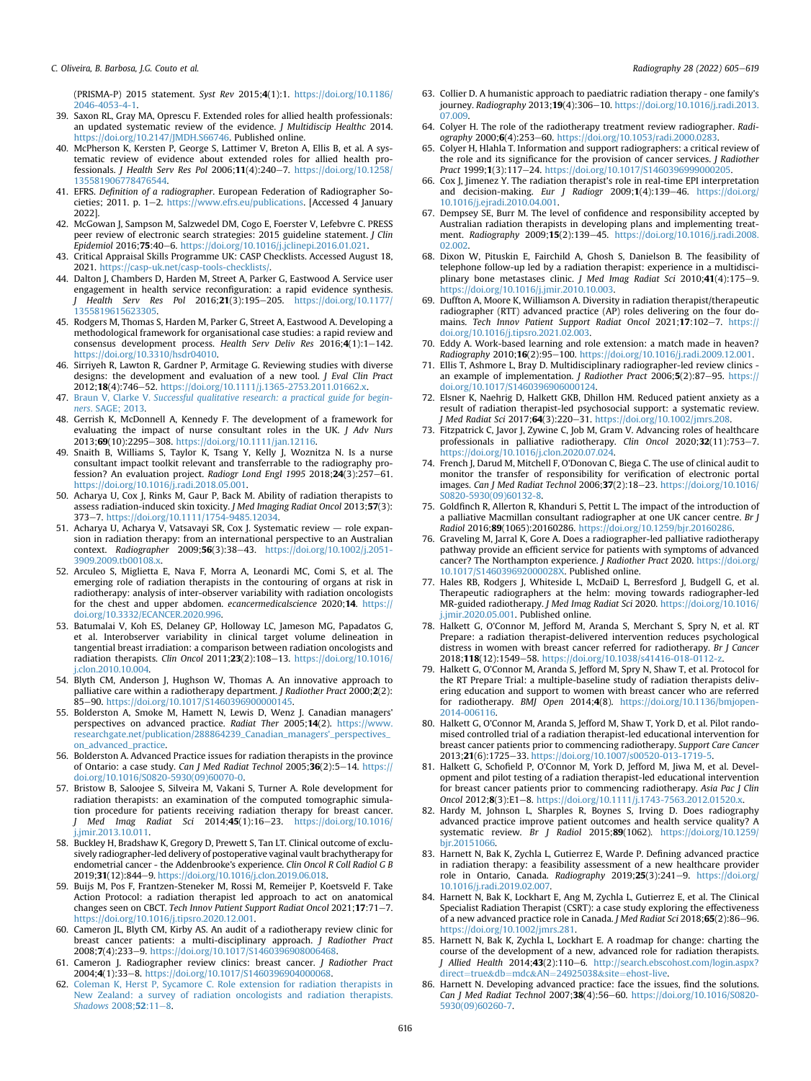(PRISMA-P) 2015 statement. Syst Rev 2015;4(1):1. [https://doi.org/10.1186/](https://doi.org/10.1186/2046-4053-4-1)  $2046 - 4053 - 4 - 1$ 

- <span id="page-11-0"></span>39. Saxon RL, Gray MA, Oprescu F. Extended roles for allied health professionals: an updated systematic review of the evidence. J Multidiscip Healthc 2014. <https://doi.org/10.2147/JMDH.S66746>. Published online.
- <span id="page-11-1"></span>40. McPherson K, Kersten P, George S, Lattimer V, Breton A, Ellis B, et al. A systematic review of evidence about extended roles for allied health professionals. J Health Serv Res Pol 2006;11(4):240-7. [https://doi.org/10.1258/](https://doi.org/10.1258/135581906778476544) [135581906778476544.](https://doi.org/10.1258/135581906778476544)
- <span id="page-11-2"></span>41. EFRS. Definition of a radiographer. European Federation of Radiographer Societies: 2011. p.  $1-2$ . [https://www.efrs.eu/publications.](https://www.efrs.eu/publications) [Accessed 4 January 2022].
- <span id="page-11-3"></span>42. McGowan J, Sampson M, Salzwedel DM, Cogo E, Foerster V, Lefebvre C. PRESS peer review of electronic search strategies: 2015 guideline statement. J Clin Epidemiol 2016;75:40-6. [https://doi.org/10.1016/j.jclinepi.2016.01.021.](https://doi.org/10.1016/j.jclinepi.2016.01.021)
- <span id="page-11-4"></span>43. Critical Appraisal Skills Programme UK: CASP Checklists. Accessed August 18, 2021. <https://casp-uk.net/casp-tools-checklists/>.
- <span id="page-11-5"></span>44. Dalton J, Chambers D, Harden M, Street A, Parker G, Eastwood A. Service user engagement in health service reconfiguration: a rapid evidence synthesis.<br>J Health Serv Res Pol 2016;21(3):195–205. [https://doi.org/10.1177/](https://doi.org/10.1177/1355819615623305) [1355819615623305.](https://doi.org/10.1177/1355819615623305)
- <span id="page-11-6"></span>45. Rodgers M, Thomas S, Harden M, Parker G, Street A, Eastwood A. Developing a methodological framework for organisational case studies: a rapid review and consensus development process. Health Serv Deliv Res 2016;4(1):1-142. <https://doi.org/10.3310/hsdr04010>.
- <span id="page-11-7"></span>46. Sirriyeh R, Lawton R, Gardner P, Armitage G. Reviewing studies with diverse designs: the development and evaluation of a new tool. J Eval Clin Pract 2012;18(4):746-52. <https://doi.org/10.1111/j.1365-2753.2011.01662.x>.
- <span id="page-11-8"></span>47. Braun V, Clarke V. [Successful qualitative research: a practical guide for begin](http://refhub.elsevier.com/S1078-8174(22)00058-X/sref47)ners[. SAGE; 2013](http://refhub.elsevier.com/S1078-8174(22)00058-X/sref47).
- <span id="page-11-9"></span>48. Gerrish K, McDonnell A, Kennedy F. The development of a framework for evaluating the impact of nurse consultant roles in the UK. J Adv Nurs 2013;69(10):2295-308. [https://doi.org/10.1111/jan.12116.](https://doi.org/10.1111/jan.12116)
- <span id="page-11-10"></span>49. Snaith B, Williams S, Taylor K, Tsang Y, Kelly J, Woznitza N. Is a nurse consultant impact toolkit relevant and transferrable to the radiography profession? An evaluation project. Radiogr Lond Engl 1995 2018;24(3):257-61. [https://doi.org/10.1016/j.radi.2018.05.001.](https://doi.org/10.1016/j.radi.2018.05.001)
- <span id="page-11-31"></span>50. Acharya U, Cox J, Rinks M, Gaur P, Back M. Ability of radiation therapists to assess radiation-induced skin toxicity. J Med Imaging Radiat Oncol 2013;57(3): 373e7. <https://doi.org/10.1111/1754-9485.12034>.
- <span id="page-11-16"></span>51. Acharya U, Acharya V, Vatsavayi SR, Cox J. Systematic review - role expansion in radiation therapy: from an international perspective to an Australian context. Radiographer 2009;56(3):38-43. [https://doi.org/10.1002/j.2051-](https://doi.org/10.1002/j.2051-3909.2009.tb00108.x) [3909.2009.tb00108.x](https://doi.org/10.1002/j.2051-3909.2009.tb00108.x).
- <span id="page-11-35"></span>52. Arculeo S, Miglietta E, Nava F, Morra A, Leonardi MC, Comi S, et al. The emerging role of radiation therapists in the contouring of organs at risk in radiotherapy: analysis of inter-observer variability with radiation oncologists for the chest and upper abdomen. ecancermedicalscience 2020;14. [https://](https://doi.org/10.3332/ECANCER.2020.996) [doi.org/10.3332/ECANCER.2020.996](https://doi.org/10.3332/ECANCER.2020.996).
- <span id="page-11-32"></span>53. Batumalai V, Koh ES, Delaney GP, Holloway LC, Jameson MG, Papadatos G, et al. Interobserver variability in clinical target volume delineation in tangential breast irradiation: a comparison between radiation oncologists and radiation therapists. Clin Oncol 2011;23(2):108-13. [https://doi.org/10.1016/](https://doi.org/10.1016/j.clon.2010.10.004) [j.clon.2010.10.004](https://doi.org/10.1016/j.clon.2010.10.004).
- <span id="page-11-20"></span>54. Blyth CM, Anderson J, Hughson W, Thomas A. An innovative approach to palliative care within a radiotherapy department. J Radiother Pract 2000;2(2): 85-90. [https://doi.org/10.1017/S1460396900000145.](https://doi.org/10.1017/S1460396900000145)
- <span id="page-11-27"></span>55. Bolderston A, Smoke M, Hamett N, Lewis D, Wenz J. Canadian managers' perspectives on advanced practice. Radiat Ther 2005;14(2). [https://www.](https://www.researchgate.net/publication/288864239_Canadian_managers'_perspectives_on_advanced_practice) [researchgate.net/publication/288864239\\_Canadian\\_managers'\\_perspectives\\_](https://www.researchgate.net/publication/288864239_Canadian_managers'_perspectives_on_advanced_practice) [on\\_advanced\\_practice](https://www.researchgate.net/publication/288864239_Canadian_managers'_perspectives_on_advanced_practice).
- <span id="page-11-12"></span>56. Bolderston A. Advanced Practice issues for radiation therapists in the province of Ontario: a case study. Can J Med Radiat Technol 2005;36(2):5-14. [https://](https://doi.org/10.1016/S0820-5930(09)60070-0) [doi.org/10.1016/S0820-5930\(09\)60070-0.](https://doi.org/10.1016/S0820-5930(09)60070-0)
- <span id="page-11-38"></span>57. Bristow B, Saloojee S, Silveira M, Vakani S, Turner A. Role development for radiation therapists: an examination of the computed tomographic simulation procedure for patients receiving radiation therapy for breast cancer. J Med Imag Radiat Sci 2014;45(1):16-23. [https://doi.org/10.1016/](https://doi.org/10.1016/j.jmir.2013.10.011) [j.jmir.2013.10.011](https://doi.org/10.1016/j.jmir.2013.10.011).
- <span id="page-11-21"></span>58. Buckley H, Bradshaw K, Gregory D, Prewett S, Tan LT. Clinical outcome of exclusively radiographer-led delivery of postoperative vaginal vault brachytherapy for endometrial cancer - the Addenbrooke's experience. Clin Oncol R Coll Radiol G B 2019;31(12):844-9. [https://doi.org/10.1016/j.clon.2019.06.018.](https://doi.org/10.1016/j.clon.2019.06.018)
- <span id="page-11-37"></span>59. Buijs M, Pos F, Frantzen-Steneker M, Rossi M, Remeijer P, Koetsveld F. Take Action Protocol: a radiation therapist led approach to act on anatomical changes seen on CBCT. Tech Innov Patient Support Radiat Oncol  $2021;17:71-7$ . [https://doi.org/10.1016/j.tipsro.2020.12.001.](https://doi.org/10.1016/j.tipsro.2020.12.001)
- <span id="page-11-22"></span>60. Cameron JL, Blyth CM, Kirby AS. An audit of a radiotherapy review clinic for breast cancer patients: a multi-disciplinary approach. J Radiother Pract 2008;7(4):233-9. https://doi.org/10.1017/S146039690800
- <span id="page-11-23"></span>61. Cameron J. Radiographer review clinics: breast cancer. J Radiother Pract 2004;4(1):33-8. <https://doi.org/10.1017/S1460396904000068>.
- <span id="page-11-36"></span>62. [Coleman K, Herst P, Sycamore C. Role extension for radiation therapists in](http://refhub.elsevier.com/S1078-8174(22)00058-X/sref62) [New Zealand: a survey of radiation oncologists and radiation therapists.](http://refhub.elsevier.com/S1078-8174(22)00058-X/sref62) [Shadows](http://refhub.elsevier.com/S1078-8174(22)00058-X/sref62) 2008;52:11-[8.](http://refhub.elsevier.com/S1078-8174(22)00058-X/sref62)
- <span id="page-11-33"></span>63. Collier D. A humanistic approach to paediatric radiation therapy - one family's journey. Radiography 2013;19(4):306-10. [https://doi.org/10.1016/j.radi.2013.](https://doi.org/10.1016/j.radi.2013.07.009) [07.009.](https://doi.org/10.1016/j.radi.2013.07.009)
- <span id="page-11-24"></span>64. Colyer H. The role of the radiotherapy treatment review radiographer. Radiography 2000;6(4):253-60. <https://doi.org/10.1053/radi.2000.0283>
- <span id="page-11-11"></span>65. Colyer H, Hlahla T. Information and support radiographers: a critical review of the role and its significance for the provision of cancer services. J Radiother Pract 1999;1(3):117-24. [https://doi.org/10.1017/S1460396999000205.](https://doi.org/10.1017/S1460396999000205)
- <span id="page-11-17"></span>66. Cox J, Jimenez Y. The radiation therapist's role in real-time EPI interpretation and decision-making. Eur J Radiogr 2009;1(4):139-46. [https://doi.org/](https://doi.org/10.1016/j.ejradi.2010.04.001) [10.1016/j.ejradi.2010.04.001](https://doi.org/10.1016/j.ejradi.2010.04.001).
- <span id="page-11-34"></span>67. Dempsey SE, Burr M. The level of confidence and responsibility accepted by Australian radiation therapists in developing plans and implementing treatment. Radiography 2009;15(2):139-45. [https://doi.org/10.1016/j.radi.2008.](https://doi.org/10.1016/j.radi.2008.02.002) [02.002.](https://doi.org/10.1016/j.radi.2008.02.002)
- <span id="page-11-28"></span>68. Dixon W, Pituskin E, Fairchild A, Ghosh S, Danielson B. The feasibility of telephone follow-up led by a radiation therapist: experience in a multidisciplinary bone metastases clinic. J Med Imag Radiat Sci 2010;41(4):175-9. [https://doi.org/10.1016/j.jmir.2010.10.003.](https://doi.org/10.1016/j.jmir.2010.10.003)
- <span id="page-11-25"></span>69. Duffton A, Moore K, Williamson A. Diversity in radiation therapist/therapeutic radiographer (RTT) advanced practice (AP) roles delivering on the four domains. Tech Innov Patient Support Radiat Oncol 2021;17:102-7. [https://](https://doi.org/10.1016/j.tipsro.2021.02.003) [doi.org/10.1016/j.tipsro.2021.02.003](https://doi.org/10.1016/j.tipsro.2021.02.003).
- <span id="page-11-42"></span>70. Eddy A. Work-based learning and role extension: a match made in heaven? Radiography 2010;16(2):95-100. [https://doi.org/10.1016/j.radi.2009.12.001.](https://doi.org/10.1016/j.radi.2009.12.001)<br>71. Ellis T, Ashmore L, Bray D. Multidisciplinary radiographer-led review clinics -
- <span id="page-11-39"></span>an example of implementation. *J Radiother Pract* 2006; $5(2)$ :87-95. [https://](https://doi.org/10.1017/S1460396906000124) [doi.org/10.1017/S1460396906000124](https://doi.org/10.1017/S1460396906000124).
- <span id="page-11-18"></span>72. Elsner K, Naehrig D, Halkett GKB, Dhillon HM. Reduced patient anxiety as a result of radiation therapist-led psychosocial support: a systematic review. J Med Radiat Sci 2017;64(3):220-31. <https://doi.org/10.1002/jmrs.208>
- <span id="page-11-13"></span>73. Fitzpatrick C, Javor J, Zywine C, Job M, Gram V. Advancing roles of healthcare professionals in palliative radiotherapy. Clin Oncol 2020;32(11):753-7.<br>[https://doi.org/10.1016/j.clon.2020.07.024.](https://doi.org/10.1016/j.clon.2020.07.024)
- <span id="page-11-29"></span>74. French J, Darud M, Mitchell F, O'Donovan C, Biega C. The use of clinical audit to monitor the transfer of responsibility for verification of electronic portal images. Can J Med Radiat Technol 2006;37(2):18-23. [https://doi.org/10.1016/](https://doi.org/10.1016/S0820-5930(09)60132-8) [S0820-5930\(09\)60132-8.](https://doi.org/10.1016/S0820-5930(09)60132-8)
- <span id="page-11-26"></span>75. Goldfinch R, Allerton R, Khanduri S, Pettit L. The impact of the introduction of a palliative Macmillan consultant radiographer at one UK cancer centre. Br J Radiol 2016;89(1065):20160286. <https://doi.org/10.1259/bjr.20160286>.
- <span id="page-11-45"></span>76. Graveling M, Jarral K, Gore A. Does a radiographer-led palliative radiotherapy pathway provide an efficient service for patients with symptoms of advanced cancer? The Northampton experience. J Radiother Pract 2020. https://doi.org [10.1017/S146039692000028X.](https://doi.org/10.1017/S146039692000028X) Published online.
- <span id="page-11-44"></span>77. Hales RB, Rodgers J, Whiteside L, McDaiD L, Berresford J, Budgell G, et al. Therapeutic radiographers at the helm: moving towards radiographer-led MR-guided radiotherapy. J Med Imag Radiat Sci 2020. [https://doi.org/10.1016/](https://doi.org/10.1016/j.jmir.2020.05.001) .jmir.2020.05.001. Published online.
- <span id="page-11-15"></span>78. Halkett G, O'Connor M, Jefford M, Aranda S, Merchant S, Spry N, et al. RT Prepare: a radiation therapist-delivered intervention reduces psychological distress in women with breast cancer referred for radiotherapy. Br J Cancer 2018;118(12):1549-58. [https://doi.org/10.1038/s41416-018-0112-z.](https://doi.org/10.1038/s41416-018-0112-z)
- 79. Halkett G, O'Connor M, Aranda S, Jefford M, Spry N, Shaw T, et al. Protocol for the RT Prepare Trial: a multiple-baseline study of radiation therapists delivering education and support to women with breast cancer who are referred for radiotherapy. BMJ Open 2014;4(8). [https://doi.org/10.1136/bmjopen-](https://doi.org/10.1136/bmjopen-2014-006116)[2014-006116.](https://doi.org/10.1136/bmjopen-2014-006116)
- <span id="page-11-14"></span>80. Halkett G, O'Connor M, Aranda S, Jefford M, Shaw T, York D, et al. Pilot randomised controlled trial of a radiation therapist-led educational intervention for breast cancer patients prior to commencing radiotherapy. Support Care Cancer 2013;21(6):1725-33. [https://doi.org/10.1007/s00520-013-1719-5.](https://doi.org/10.1007/s00520-013-1719-5)
- <span id="page-11-43"></span>81. Halkett G, Schofield P, O'Connor M, York D, Jefford M, Jiwa M, et al. Development and pilot testing of a radiation therapist-led educational intervention for breast cancer patients prior to commencing radiotherapy. Asia Pac J Clin Oncol 2012;8(3):E1-8. [https://doi.org/10.1111/j.1743-7563.2012.01520.x.](https://doi.org/10.1111/j.1743-7563.2012.01520.x)
- <span id="page-11-19"></span>82. Hardy M, Johnson L, Sharples R, Boynes S, Irving D. Does radiography advanced practice improve patient outcomes and health service quality? A systematic review. Br J Radiol 2015;89(1062). [https://doi.org/10.1259/](https://doi.org/10.1259/bjr.20151066) [bjr.20151066.](https://doi.org/10.1259/bjr.20151066)
- <span id="page-11-30"></span>83. Harnett N, Bak K, Zychla L, Gutierrez E, Warde P. Defining advanced practice in radiation therapy: a feasibility assessment of a new healthcare provider role in Ontario, Canada. Radiography 2019;25(3):241-9. [https://doi.org/](https://doi.org/10.1016/j.radi.2019.02.007) [10.1016/j.radi.2019.02.007.](https://doi.org/10.1016/j.radi.2019.02.007)
- <span id="page-11-41"></span>84. Harnett N, Bak K, Lockhart E, Ang M, Zychla L, Gutierrez E, et al. The Clinical Specialist Radiation Therapist (CSRT): a case study exploring the effectiveness of a new advanced practice role in Canada. J Med Radiat Sci 2018;65(2):86-96. <https://doi.org/10.1002/jmrs.281>.
- <span id="page-11-40"></span>85. Harnett N, Bak K, Zychla L, Lockhart E. A roadmap for change: charting the course of the development of a new, advanced role for radiation therapists. J Allied Health 2014;43(2):110-6. [http://search.ebscohost.com/login.aspx?](http://search.ebscohost.com/login.aspx?direct=true&db=mdc&AN=24925038&site=ehost-live) [direct](http://search.ebscohost.com/login.aspx?direct=true&db=mdc&AN=24925038&site=ehost-live)=[true](http://search.ebscohost.com/login.aspx?direct=true&db=mdc&AN=24925038&site=ehost-live)&[db](http://search.ebscohost.com/login.aspx?direct=true&db=mdc&AN=24925038&site=ehost-live)=[mdc](http://search.ebscohost.com/login.aspx?direct=true&db=mdc&AN=24925038&site=ehost-live)&[AN](http://search.ebscohost.com/login.aspx?direct=true&db=mdc&AN=24925038&site=ehost-live)=[24925038](http://search.ebscohost.com/login.aspx?direct=true&db=mdc&AN=24925038&site=ehost-live)&[site](http://search.ebscohost.com/login.aspx?direct=true&db=mdc&AN=24925038&site=ehost-live)=[ehost-live](http://search.ebscohost.com/login.aspx?direct=true&db=mdc&AN=24925038&site=ehost-live).
- 86. Harnett N. Developing advanced practice: face the issues, find the solutions. Can J Med Radiat Technol 2007;38(4):56-60. [https://doi.org/10.1016/S0820-](https://doi.org/10.1016/S0820-5930(09)60260-7) [5930\(09\)60260-7](https://doi.org/10.1016/S0820-5930(09)60260-7).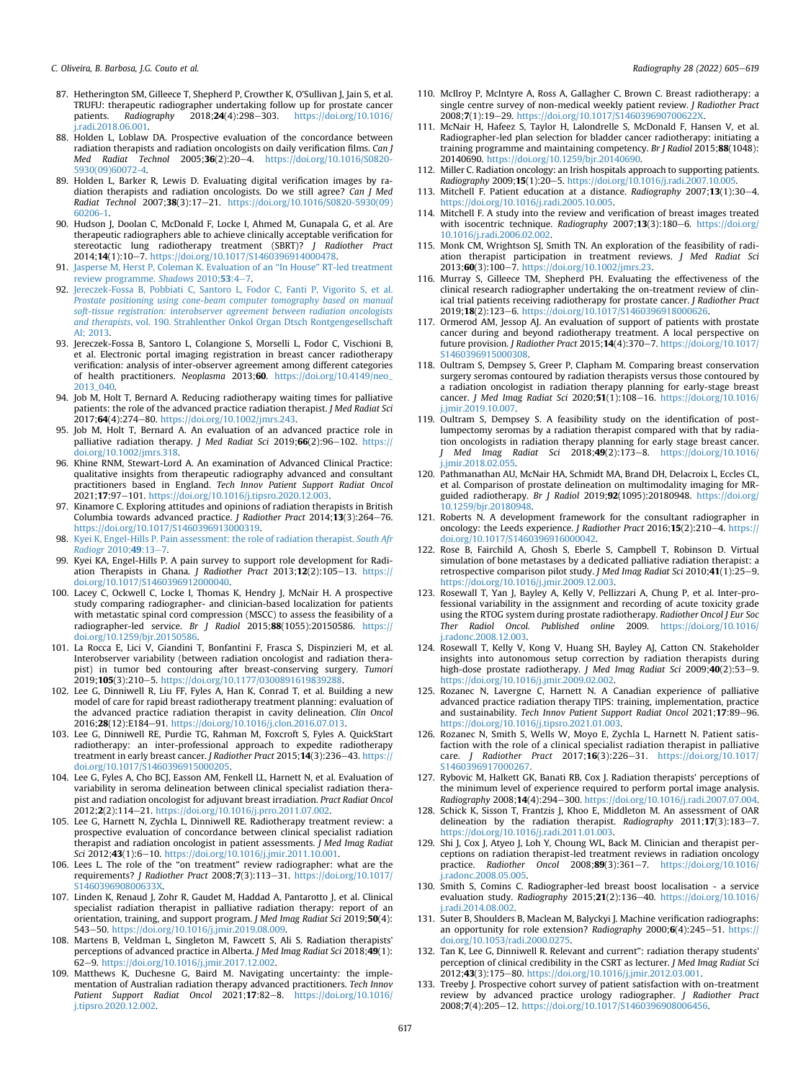C. Oliveira, B. Barbosa, I.G. Couto et al.  $\blacksquare$ 

- <span id="page-12-3"></span>87. Hetherington SM, Gilleece T, Shepherd P, Crowther K, O'Sullivan J, Jain S, et al. TRUFU: therapeutic radiographer undertaking follow up for prostate cancer patients. Radiography 2018;24(4):298-303. https://doi.org/10.1016/ patients. Radiography  $2018:24(4):298-303$ . [https://doi.org/10.1016/](https://doi.org/10.1016/j.radi.2018.06.001) [j.radi.2018.06.001](https://doi.org/10.1016/j.radi.2018.06.001).
- <span id="page-12-17"></span>88. Holden L, Loblaw DA. Prospective evaluation of the concordance between radiation therapists and radiation oncologists on daily verification films. Can J Med Radiat Technol 2005;36(2):20-4. [https://doi.org/10.1016/S0820-](https://doi.org/10.1016/S0820-5930(09)60072-4) [5930\(09\)60072-4](https://doi.org/10.1016/S0820-5930(09)60072-4).
- <span id="page-12-18"></span>89. Holden L, Barker R, Lewis D. Evaluating digital verification images by radiation therapists and radiation oncologists. Do we still agree? Can J Med Radiat Technol 2007;38(3):17-21. [https://doi.org/10.1016/S0820-5930\(09\)](https://doi.org/10.1016/S0820-5930(09)60206-1) [60206-1.](https://doi.org/10.1016/S0820-5930(09)60206-1)
- <span id="page-12-4"></span>90. Hudson J, Doolan C, McDonald F, Locke I, Ahmed M, Gunapala G, et al. Are therapeutic radiographers able to achieve clinically acceptable verification for stereotactic lung radiotherapy treatment (SBRT)? *J Radiother Pract*<br>2014**;14**(1):10—7. <https://doi.org/10.1017/S1460396914000478>.
- <span id="page-12-36"></span>91. [Jasperse M, Herst P, Coleman K. Evaluation of an](http://refhub.elsevier.com/S1078-8174(22)00058-X/sref91) "In House" RT-led treatment [review programme.](http://refhub.elsevier.com/S1078-8174(22)00058-X/sref91) Shadows 2010;53:4-[7](http://refhub.elsevier.com/S1078-8174(22)00058-X/sref91).
- <span id="page-12-33"></span>92. [Jereczek-Fossa B, Pobbiati C, Santoro L, Fodor C, Fanti P, Vigorito S, et al.](http://refhub.elsevier.com/S1078-8174(22)00058-X/sref92) [Prostate positioning using cone-beam computer tomography based on manual](http://refhub.elsevier.com/S1078-8174(22)00058-X/sref92) [soft-tissue registration: interobserver agreement between radiation oncologists](http://refhub.elsevier.com/S1078-8174(22)00058-X/sref92) and therapists[, vol. 190. Strahlenther Onkol Organ Dtsch Rontgengesellschaft](http://refhub.elsevier.com/S1078-8174(22)00058-X/sref92) [Al; 2013](http://refhub.elsevier.com/S1078-8174(22)00058-X/sref92).
- <span id="page-12-34"></span>93. Jereczek-Fossa B, Santoro L, Colangione S, Morselli L, Fodor C, Vischioni B, et al. Electronic portal imaging registration in breast cancer radiotherapy verification: analysis of inter-observer agreement among different categories of health practitioners. Neoplasma 2013;60. [https://doi.org/10.4149/neo\\_](https://doi.org/10.4149/neo_2013_040) [2013\\_040](https://doi.org/10.4149/neo_2013_040).
- <span id="page-12-40"></span>94. Job M, Holt T, Bernard A. Reducing radiotherapy waiting times for palliative patients: the role of the advanced practice radiation therapist. J Med Radiat Sci 2017;64(4):274-80. [https://doi.org/10.1002/jmrs.243.](https://doi.org/10.1002/jmrs.243)
- <span id="page-12-27"></span>95. Job M, Holt T, Bernard A. An evaluation of an advanced practice role in palliative radiation therapy. J Med Radiat Sci 2019; $66(2):96-102$ . [https://](https://doi.org/10.1002/jmrs.318) [doi.org/10.1002/jmrs.318.](https://doi.org/10.1002/jmrs.318)
- <span id="page-12-5"></span>96. Khine RNM, Stewart-Lord A. An examination of Advanced Clinical Practice: qualitative insights from therapeutic radiography advanced and consultant practitioners based in England. Tech Innov Patient Support Radiat Oncol 2021;17:97-101. [https://doi.org/10.1016/j.tipsro.2020.12.003.](https://doi.org/10.1016/j.tipsro.2020.12.003)
- <span id="page-12-19"></span>97. Kinamore C. Exploring attitudes and opinions of radiation therapists in British Columbia towards advanced practice. *J Radiother Pract* 2014;13(3):264-76. [https://doi.org/10.1017/S1460396913000319.](https://doi.org/10.1017/S1460396913000319)
- <span id="page-12-41"></span>98. [Kyei K, Engel-Hills P. Pain assessment: the role of radiation therapist.](http://refhub.elsevier.com/S1078-8174(22)00058-X/sref98) South Afr [Radiogr](http://refhub.elsevier.com/S1078-8174(22)00058-X/sref98) 2010;49:13-[7.](http://refhub.elsevier.com/S1078-8174(22)00058-X/sref98)
- <span id="page-12-0"></span>99. Kyei KA, Engel-Hills P. A pain survey to support role development for Radiation Therapists in Ghana. J Radiother Pract 2013;12(2):105-13. [https://](https://doi.org/10.1017/S1460396912000040) [doi.org/10.1017/S1460396912000040](https://doi.org/10.1017/S1460396912000040).
- <span id="page-12-6"></span>100. Lacey C, Ockwell C, Locke I, Thomas K, Hendry J, McNair H. A prospective study comparing radiographer- and clinician-based localization for patients with metastatic spinal cord compression (MSCC) to assess the feasibility of a radiographer-led service. Br  $\int$  Radiol 2015;88(1055):20150586. [https://](https://doi.org/10.1259/bjr.20150586) [doi.org/10.1259/bjr.20150586.](https://doi.org/10.1259/bjr.20150586)
- <span id="page-12-35"></span>101. La Rocca E, Lici V, Giandini T, Bonfantini F, Frasca S, Dispinzieri M, et al. Interobserver variability (between radiation oncologist and radiation therapist) in tumor bed contouring after breast-conserving surgery. Tumori 2019;105(3):210-5. <https://doi.org/10.1177/0300891619839288>
- <span id="page-12-20"></span>102. Lee G, Dinniwell R, Liu FF, Fyles A, Han K, Conrad T, et al. Building a new model of care for rapid breast radiotherapy treatment planning: evaluation of the advanced practice radiation therapist in cavity delineation. Clin Oncol 2016;28(12):E184-91. <https://doi.org/10.1016/j.clon.2016.07.013>.
- <span id="page-12-42"></span>103. Lee G, Dinniwell RE, Purdie TG, Rahman M, Foxcroft S, Fyles A. QuickStart radiotherapy: an inter-professional approach to expedite radiotherapy treatment in early breast cancer. J Radiother Pract 2015;14(3):236-43. [https://](https://doi.org/10.1017/S1460396915000205) [doi.org/10.1017/S1460396915000205.](https://doi.org/10.1017/S1460396915000205)
- <span id="page-12-43"></span>104. Lee G, Fyles A, Cho BCJ, Easson AM, Fenkell LL, Harnett N, et al. Evaluation of variability in seroma delineation between clinical specialist radiation therapist and radiation oncologist for adjuvant breast irradiation. Pract Radiat Oncol 2012;2(2):114-21. <https://doi.org/10.1016/j.prro.2011.07.002>.
- <span id="page-12-44"></span>105. Lee G, Harnett N, Zychla L, Dinniwell RE. Radiotherapy treatment review: a prospective evaluation of concordance between clinical specialist radiation therapist and radiation oncologist in patient assessments. J Med Imag Radiat Sci 2012;43(1):6-10. <https://doi.org/10.1016/j.jmir.2011.10.001>.
- <span id="page-12-7"></span>106. Lees L. The role of the "on treatment" review radiographer: what are the requirements? J Radiother Pract 2008;7(3):113-31. [https://doi.org/10.1017/](https://doi.org/10.1017/S146039690800633X) [S146039690800633X](https://doi.org/10.1017/S146039690800633X).
- <span id="page-12-21"></span>107. Linden K, Renaud J, Zohr R, Gaudet M, Haddad A, Pantarotto J, et al. Clinical specialist radiation therapist in palliative radiation therapy: report of an orientation, training, and support program. J Med Imag Radiat Sci 2019;50(4): 543-50. [https://doi.org/10.1016/j.jmir.2019.08.009.](https://doi.org/10.1016/j.jmir.2019.08.009)
- <span id="page-12-22"></span>108. Martens B, Veldman L, Singleton M, Fawcett S, Ali S. Radiation therapists' perceptions of advanced practice in Alberta. J Med Imag Radiat Sci 2018;49(1): 62e9. <https://doi.org/10.1016/j.jmir.2017.12.002>.
- <span id="page-12-28"></span>109. Matthews K, Duchesne G, Baird M. Navigating uncertainty: the implementation of Australian radiation therapy advanced practitioners. Tech Innov Patient Support Radiat Oncol  $2021$ ;17:82-8. [https://doi.org/10.1016/](https://doi.org/10.1016/j.tipsro.2020.12.002) [j.tipsro.2020.12.002](https://doi.org/10.1016/j.tipsro.2020.12.002).
- <span id="page-12-8"></span>110. McIlroy P, McIntyre A, Ross A, Gallagher C, Brown C. Breast radiotherapy: a single centre survey of non-medical weekly patient review. J Radiother Pract 2008;7(1):19-29. https://doi.org/10.1017/S1460396907006
- <span id="page-12-9"></span>111. McNair H, Hafeez S, Taylor H, Lalondrelle S, McDonald F, Hansen V, et al. Radiographer-led plan selection for bladder cancer radiotherapy: initiating a training programme and maintaining competency. Br J Radiol 2015;88(1048): 20140690. <https://doi.org/10.1259/bjr.20140690>.
- <span id="page-12-37"></span>112. Miller C. Radiation oncology: an Irish hospitals approach to supporting patients. Radiography 2009;15(1):20e5. [https://doi.org/10.1016/j.radi.2007.10.005.](https://doi.org/10.1016/j.radi.2007.10.005)
- <span id="page-12-23"></span>113. Mitchell F. Patient education at a distance. Radiography 2007;13(1):30-4. <https://doi.org/10.1016/j.radi.2005.10.005>.
- <span id="page-12-24"></span>114. Mitchell F. A study into the review and verification of breast images treated with isocentric technique. Radiography 2007;13(3):180-6. [https://doi.org/](https://doi.org/10.1016/j.radi.2006.02.002) [10.1016/j.radi.2006.02.002](https://doi.org/10.1016/j.radi.2006.02.002).
- <span id="page-12-29"></span>115. Monk CM, Wrightson SJ, Smith TN. An exploration of the feasibility of radiation therapist participation in treatment reviews. *J Med Radiat Sci*<br>2013;**60**(3):100–7. [https://doi.org/10.1002/jmrs.23.](https://doi.org/10.1002/jmrs.23)
- <span id="page-12-10"></span>116. Murray S, Gilleece TM, Shepherd PH. Evaluating the effectiveness of the clinical research radiographer undertaking the on-treatment review of clinical trial patients receiving radiotherapy for prostate cancer. J Radiother Pract 2019;18(2):123-6. <https://doi.org/10.1017/S1460396918000626>.
- <span id="page-12-11"></span>117. Ormerod AM, Jessop AJ. An evaluation of support of patients with prostate cancer during and beyond radiotherapy treatment. A local perspective on future provision. J Radiother Pract 2015;14(4):370-7. [https://doi.org/10.1017/](https://doi.org/10.1017/S1460396915000308) [S1460396915000308.](https://doi.org/10.1017/S1460396915000308)
- <span id="page-12-30"></span>118. Oultram S, Dempsey S, Greer P, Clapham M. Comparing breast conservation surgery seromas contoured by radiation therapists versus those contoured by a radiation oncologist in radiation therapy planning for early-stage breast cancer. J Med Imag Radiat Sci 2020;51(1):108-16. [https://doi.org/10.1016/](https://doi.org/10.1016/j.jmir.2019.10.007) [j.jmir.2019.10.007](https://doi.org/10.1016/j.jmir.2019.10.007).
- <span id="page-12-31"></span>119. Oultram S, Dempsey S. A feasibility study on the identification of postlumpectomy seromas by a radiation therapist compared with that by radiation oncologists in radiation therapy planning for early stage breast cancer. J Med Imag Radiat Sci 2018;49(2):173-8. [https://doi.org/10.1016/](https://doi.org/10.1016/j.jmir.2018.02.055) [j.jmir.2018.02.055](https://doi.org/10.1016/j.jmir.2018.02.055).
- <span id="page-12-12"></span>120. Pathmanathan AU, McNair HA, Schmidt MA, Brand DH, Delacroix L, Eccles CL, et al. Comparison of prostate delineation on multimodality imaging for MRguided radiotherapy. Br J Radiol 2019;92(1095):20180948. [https://doi.org/](https://doi.org/10.1259/bjr.20180948) [10.1259/bjr.20180948](https://doi.org/10.1259/bjr.20180948).
- <span id="page-12-13"></span>121. Roberts N. A development framework for the consultant radiographer in oncology: the Leeds experience. J Radiother Pract 2016;15(2):210-4. [https://](https://doi.org/10.1017/S1460396916000042) [doi.org/10.1017/S1460396916000042.](https://doi.org/10.1017/S1460396916000042)
- <span id="page-12-25"></span>122. Rose B, Fairchild A, Ghosh S, Eberle S, Campbell T, Robinson D. Virtual simulation of bone metastases by a dedicated palliative radiation therapist: a retrospective comparison pilot study. J Med Imag Radiat Sci 2010;41(1):25-9. [https://doi.org/10.1016/j.jmir.2009.12.003.](https://doi.org/10.1016/j.jmir.2009.12.003)
- <span id="page-12-45"></span>123. Rosewall T, Yan J, Bayley A, Kelly V, Pellizzari A, Chung P, et al. Inter-professional variability in the assignment and recording of acute toxicity grade using the RTOG system during prostate radiotherapy. Radiother Oncol J Eur Soc Ther Radiol Oncol. Published online 2009. [https://doi.org/10.1016/](https://doi.org/10.1016/j.radonc.2008.12.003) [j.radonc.2008.12.003.](https://doi.org/10.1016/j.radonc.2008.12.003)
- <span id="page-12-46"></span>124. Rosewall T, Kelly V, Kong V, Huang SH, Bayley AJ, Catton CN. Stakeholder insights into autonomous setup correction by radiation therapists during high-dose prostate radiotherapy. J Med Imag Radiat Sci 2009;40(2):53-9. [https://doi.org/10.1016/j.jmir.2009.02.002.](https://doi.org/10.1016/j.jmir.2009.02.002) 125. Rozanec N, Lavergne C, Harnett N. A Canadian experience of palliative
- <span id="page-12-39"></span>advanced practice radiation therapy TIPS: training, implementation, practice and sustainability. Tech Innov Patient Support Radiat Oncol 2021;17:89-96. [https://doi.org/10.1016/j.tipsro.2021.01.003.](https://doi.org/10.1016/j.tipsro.2021.01.003)
- <span id="page-12-1"></span>126. Rozanec N, Smith S, Wells W, Moyo E, Zychla L, Harnett N. Patient satisfaction with the role of a clinical specialist radiation therapist in palliative care. J Radiother Pract 2017;16(3):226-31. [https://doi.org/10.1017/](https://doi.org/10.1017/S1460396917000267) [S1460396917000267](https://doi.org/10.1017/S1460396917000267).
- <span id="page-12-32"></span>127. Rybovic M, Halkett GK, Banati RB, Cox J. Radiation therapists' perceptions of the minimum level of experience required to perform portal image analysis. Radiography 2008;14(4):294-300. <https://doi.org/10.1016/j.radi.2007.07.004>.
- <span id="page-12-38"></span>128. Schick K, Sisson T, Frantzis J, Khoo E, Middleton M. An assessment of OAR delineation by the radiation therapist. Radiography  $2011; 17(3): 183-7$ . <https://doi.org/10.1016/j.radi.2011.01.003>.
- <span id="page-12-2"></span>129. Shi J, Cox J, Atyeo J, Loh Y, Choung WL, Back M. Clinician and therapist perceptions on radiation therapist-led treatment reviews in radiation oncology practice. Radiother Oncol 2008;89(3):361-7. [https://doi.org/10.1016/](https://doi.org/10.1016/j.radonc.2008.05.005) [j.radonc.2008.05.005.](https://doi.org/10.1016/j.radonc.2008.05.005)
- <span id="page-12-14"></span>130. Smith S, Comins C. Radiographer-led breast boost localisation - a service evaluation study. Radiography 2015;21(2):136-40. [https://doi.org/10.1016/](https://doi.org/10.1016/j.radi.2014.08.002) [j.radi.2014.08.002.](https://doi.org/10.1016/j.radi.2014.08.002)
- <span id="page-12-15"></span>131. Suter B, Shoulders B, Maclean M, Balyckyi J. Machine verification radiographs: an opportunity for role extension? Radiography  $2000; 6(4):245-51.$  [https://](https://doi.org/10.1053/radi.2000.0275) [doi.org/10.1053/radi.2000.0275.](https://doi.org/10.1053/radi.2000.0275)
- <span id="page-12-26"></span>132. Tan K, Lee G, Dinniwell R. Relevant and current": radiation therapy students' perception of clinical credibility in the CSRT as lecturer. J Med Imag Radiat Sci 2012;43(3):175-80. [https://doi.org/10.1016/j.jmir.2012.03.001.](https://doi.org/10.1016/j.jmir.2012.03.001)
- <span id="page-12-16"></span>133. Treeby J. Prospective cohort survey of patient satisfaction with on-treatment review by advanced practice urology radiographer. *J Radiother Pract*<br>2008;**7**(4):205–12. <https://doi.org/10.1017/S1460396908006456>.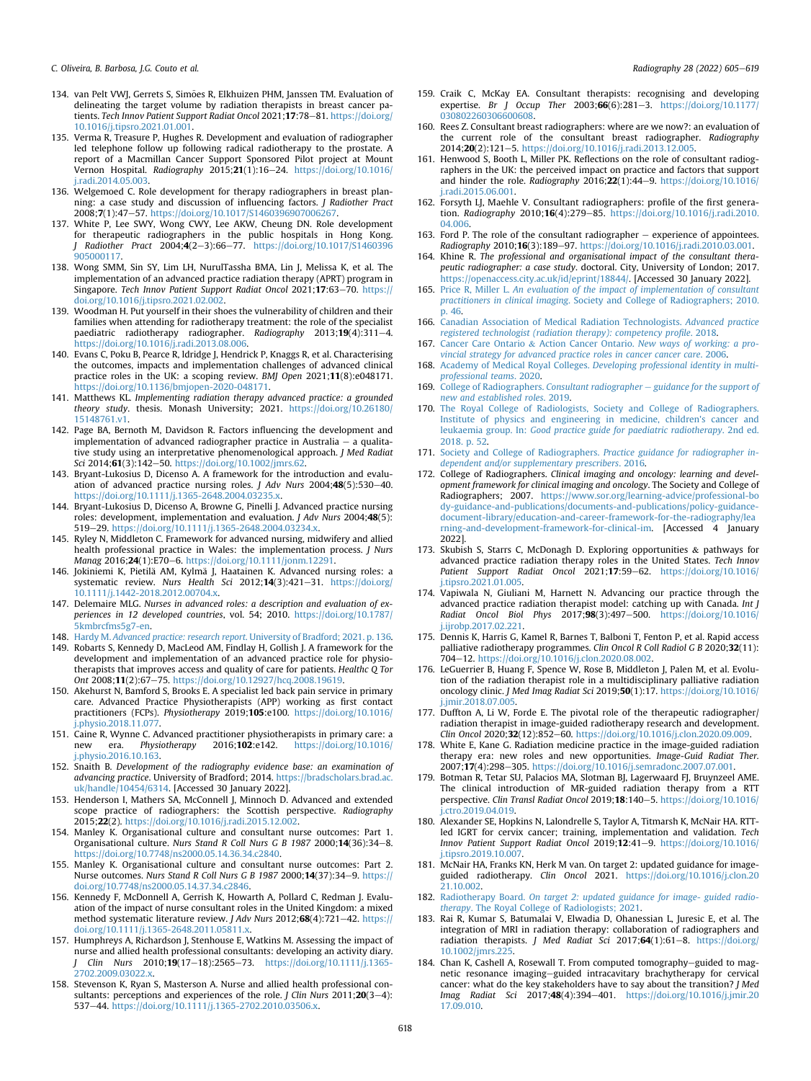C. Oliveira, B. Barbosa, I.G. Couto et al.  $\blacksquare$ 

- <span id="page-13-3"></span>134. van Pelt VWJ, Gerrets S, Simões R, Elkhuizen PHM, Janssen TM. Evaluation of delineating the target volume by radiation therapists in breast cancer patients. Tech Innov Patient Support Radiat Oncol 2021;17:78-81. [https://doi.org/](https://doi.org/10.1016/j.tipsro.2021.01.001) [10.1016/j.tipsro.2021.01.001.](https://doi.org/10.1016/j.tipsro.2021.01.001)
- <span id="page-13-0"></span>135. Verma R, Treasure P, Hughes R. Development and evaluation of radiographer led telephone follow up following radical radiotherapy to the prostate. A report of a Macmillan Cancer Support Sponsored Pilot project at Mount Vernon Hospital. Radiography 2015;21(1):16-24. [https://doi.org/10.1016/](https://doi.org/10.1016/j.radi.2014.05.003) [j.radi.2014.05.003.](https://doi.org/10.1016/j.radi.2014.05.003)
- <span id="page-13-2"></span>136. Welgemoed C. Role development for therapy radiographers in breast planning: a case study and discussion of influencing factors. J Radiother Pract 2008;7(1):47-57. <https://doi.org/10.1017/S1460396907006267>.
- <span id="page-13-5"></span>137. White P, Lee SWY, Wong CWY, Lee AKW, Cheung DN. Role development for therapeutic radiographers in the public hospitals in Hong Kong. J Radiother Pract 2004;4(2-3):66-77. [https://doi.org/10.1017/S1460396](https://doi.org/10.1017/S1460396905000117) [905000117.](https://doi.org/10.1017/S1460396905000117)
- <span id="page-13-4"></span>138. Wong SMM, Sin SY, Lim LH, NurulTassha BMA, Lin J, Melissa K, et al. The implementation of an advanced practice radiation therapy (APRT) program in Singapore. Tech Innov Patient Support Radiat Oncol 2021;17:63-70. [https://](https://doi.org/10.1016/j.tipsro.2021.02.002) [doi.org/10.1016/j.tipsro.2021.02.002](https://doi.org/10.1016/j.tipsro.2021.02.002).
- <span id="page-13-1"></span>139. Woodman H. Put yourself in their shoes the vulnerability of children and their families when attending for radiotherapy treatment: the role of the specialist paediatric radiotherapy radiographer. Radiography 2013;19(4):311-4. <https://doi.org/10.1016/j.radi.2013.08.006>.
- <span id="page-13-6"></span>140. Evans C, Poku B, Pearce R, ldridge J, Hendrick P, Knaggs R, et al. Characterising the outcomes, impacts and implementation challenges of advanced clinical practice roles in the UK: a scoping review. *BMJ Open* 2021;**11**(8):e048171.<br><https://doi.org/10.1136/bmjopen-2020-048171>.
- <span id="page-13-7"></span>141. Matthews KL. Implementing radiation therapy advanced practice: a grounded theory study. thesis. Monash University; 2021. [https://doi.org/10.26180/](https://doi.org/10.26180/15148761.v1) [15148761.v1.](https://doi.org/10.26180/15148761.v1)
- <span id="page-13-8"></span>142. Page BA, Bernoth M, Davidson R. Factors influencing the development and implementation of advanced radiographer practice in Australia  $-$  a qualitative study using an interpretative phenomenological approach. J Med Radiat Sci 2014;61(3):142-50. [https://doi.org/10.1002/jmrs.62.](https://doi.org/10.1002/jmrs.62)
- <span id="page-13-9"></span>143. Bryant-Lukosius D, Dicenso A. A framework for the introduction and evaluation of advanced practice nursing roles. *J Adv Nurs* 2004; $48(5)$ :530-40. [https://doi.org/10.1111/j.1365-2648.2004.03235.x.](https://doi.org/10.1111/j.1365-2648.2004.03235.x)
- 144. Bryant-Lukosius D, Dicenso A, Browne G, Pinelli J. Advanced practice nursing roles: development, implementation and evaluation. J Adv Nurs 2004;48(5): 519-29. https://doi.org/10.1111/j.1365-2648.2004.03234.x
- 145. Ryley N, Middleton C. Framework for advanced nursing, midwifery and allied health professional practice in Wales: the implementation process. J Nurs Manag 2016;24(1):E70-6. <https://doi.org/10.1111/jonm.12291>
- 146. Jokiniemi K, Pietilä AM, Kylmä J, Haatainen K. Advanced nursing roles: a systematic review. Nurs Health Sci 2012;14(3):421-31. [https://doi.org/](https://doi.org/10.1111/j.1442-2018.2012.00704.x) [10.1111/j.1442-2018.2012.00704.x](https://doi.org/10.1111/j.1442-2018.2012.00704.x).
- 147. Delemaire MLG. Nurses in advanced roles: a description and evaluation of experiences in 12 developed countries, vol. 54; 2010. [https://doi.org/10.1787/](https://doi.org/10.1787/5kmbrcfms5g7-en) [5kmbrcfms5g7-en](https://doi.org/10.1787/5kmbrcfms5g7-en).
- <span id="page-13-10"></span>148. Hardy M. Advanced practice: research report[. University of Bradford; 2021. p. 136](http://refhub.elsevier.com/S1078-8174(22)00058-X/sref148). 149. Robarts S. Kennedy D. MacLeod AM. Findlay H. Gollish I. A framework for the
- <span id="page-13-11"></span>Robarts S, Kennedy D, MacLeod AM, Findlay H, Gollish J. A framework for the development and implementation of an advanced practice role for physiotherapists that improves access and quality of care for patients. Healthc Q Tor Ont 2008;11(2):67-75. [https://doi.org/10.12927/hcq.2008.19619.](https://doi.org/10.12927/hcq.2008.19619)
- 150. Akehurst N, Bamford S, Brooks E. A specialist led back pain service in primary care. Advanced Practice Physiotherapists (APP) working as first contact practitioners (FCPs). Physiotherapy 2019;105:e100. [https://doi.org/10.1016/](https://doi.org/10.1016/j.physio.2018.11.077) [j.physio.2018.11.077.](https://doi.org/10.1016/j.physio.2018.11.077)
- 151. Caine R, Wynne C. Advanced practitioner physiotherapists in primary care: a<br>new era. Physiotherapy 2016;102:e142. https://doi.org/10.1016/ new era. Physiotherapy 2016;102:e142. [https://doi.org/10.1016/](https://doi.org/10.1016/j.physio.2016.10.163) [j.physio.2016.10.163.](https://doi.org/10.1016/j.physio.2016.10.163)
- <span id="page-13-12"></span>152. Snaith B. Development of the radiography evidence base: an examination of advancing practice. University of Bradford; 2014. [https://bradscholars.brad.ac.](https://bradscholars.brad.ac.uk/handle/10454/6314) [uk/handle/10454/6314.](https://bradscholars.brad.ac.uk/handle/10454/6314) [Accessed 30 January 2022].
- <span id="page-13-13"></span>153. Henderson I, Mathers SA, McConnell J, Minnoch D. Advanced and extended scope practice of radiographers: the Scottish perspective. Radiography 2015;22(2). [https://doi.org/10.1016/j.radi.2015.12.002.](https://doi.org/10.1016/j.radi.2015.12.002)
- <span id="page-13-14"></span>154. Manley K. Organisational culture and consultant nurse outcomes: Part 1. Organisational culture. Nurs Stand R Coll Nurs G B 1987 2000;14(36):34-8. <https://doi.org/10.7748/ns2000.05.14.36.34.c2840>.
- 155. Manley K. Organisational culture and consultant nurse outcomes: Part 2. Nurse outcomes. Nurs Stand R Coll Nurs G B 1987 2000;14(37):34-9. [https://](https://doi.org/10.7748/ns2000.05.14.37.34.c2846) [doi.org/10.7748/ns2000.05.14.37.34.c2846.](https://doi.org/10.7748/ns2000.05.14.37.34.c2846)
- 156. Kennedy F, McDonnell A, Gerrish K, Howarth A, Pollard C, Redman J. Evaluation of the impact of nurse consultant roles in the United Kingdom: a mixed method systematic literature review. J Adv Nurs 2012;68(4):721-42. [https://](https://doi.org/10.1111/j.1365-2648.2011.05811.x) [doi.org/10.1111/j.1365-2648.2011.05811.x](https://doi.org/10.1111/j.1365-2648.2011.05811.x).
- <span id="page-13-15"></span>157. Humphreys A, Richardson J, Stenhouse E, Watkins M. Assessing the impact of nurse and allied health professional consultants: developing an activity diary. J Clin Nurs 2010;19(17-18):2565-73. [https://doi.org/10.1111/j.1365-](https://doi.org/10.1111/j.1365-2702.2009.03022.x) [2702.2009.03022.x](https://doi.org/10.1111/j.1365-2702.2009.03022.x).
- 158. Stevenson K, Ryan S, Masterson A. Nurse and allied health professional consultants: perceptions and experiences of the role. *J Clin Nurs* 2011; **20**(3-4): 537-44. [https://doi.org/10.1111/j.1365-2702.2010.03506.x.](https://doi.org/10.1111/j.1365-2702.2010.03506.x)
- 159. Craik C, McKay EA. Consultant therapists: recognising and developing expertise. Br J Occup Ther 2003; $66(6)$ :281-3. https://doi.org/10.1177 [030802260306600608.](https://doi.org/10.1177/030802260306600608)
- <span id="page-13-16"></span>160. Rees Z. Consultant breast radiographers: where are we now?: an evaluation of the current role of the consultant breast radiographer. Radiography 2014;20(2):121-5. <https://doi.org/10.1016/j.radi.2013.12.005>.
- 161. Henwood S, Booth L, Miller PK. Reflections on the role of consultant radiographers in the UK: the perceived impact on practice and factors that support and hinder the role. Radiography  $2016:22(1):44-9$ . [https://doi.org/10.1016/](https://doi.org/10.1016/j.radi.2015.06.001) [j.radi.2015.06.001.](https://doi.org/10.1016/j.radi.2015.06.001)
- 162. Forsyth LJ, Maehle V. Consultant radiographers: profile of the first generation. Radiography 2010;16(4):279-85. [https://doi.org/10.1016/j.radi.2010.](https://doi.org/10.1016/j.radi.2010.04.006) [04.006.](https://doi.org/10.1016/j.radi.2010.04.006)
- 163. Ford P. The role of the consultant radiographer  $-$  experience of appointees. Radiography 2010;16(3):189-97. [https://doi.org/10.1016/j.radi.2010.03.001.](https://doi.org/10.1016/j.radi.2010.03.001)
- 164. Khine R. The professional and organisational impact of the consultant therapeutic radiographer: a case study. doctoral. City, University of London; 2017. <https://openaccess.city.ac.uk/id/eprint/18844/>. [Accessed 30 January 2022].
- 165. Price R, Miller L. [An evaluation of the impact of implementation of consultant](http://refhub.elsevier.com/S1078-8174(22)00058-X/sref165) practitioners in clinical imaging[. Society and College of Radiographers; 2010.](http://refhub.elsevier.com/S1078-8174(22)00058-X/sref165) [p. 46.](http://refhub.elsevier.com/S1078-8174(22)00058-X/sref165)
- <span id="page-13-17"></span>166. [Canadian Association of Medical Radiation Technologists.](http://refhub.elsevier.com/S1078-8174(22)00058-X/sref166) Advanced practice [registered technologist \(radiation therapy\): competency pro](http://refhub.elsevier.com/S1078-8174(22)00058-X/sref166)file. 2018.
- 167. [Cancer Care Ontario](http://refhub.elsevier.com/S1078-8174(22)00058-X/sref167) & Action Cancer Ontario. [New ways of working: a pro](http://refhub.elsevier.com/S1078-8174(22)00058-X/sref167)[vincial strategy for advanced practice roles in cancer cancer care](http://refhub.elsevier.com/S1078-8174(22)00058-X/sref167). 2006.
- 168. Academy of Medical Royal Colleges. [Developing professional identity in multi](http://refhub.elsevier.com/S1078-8174(22)00058-X/sref168)[professional teams](http://refhub.elsevier.com/S1078-8174(22)00058-X/sref168). 2020.
- 169. [College of Radiographers.](http://refhub.elsevier.com/S1078-8174(22)00058-X/sref169) Consultant radiographer  $-$  [guidance for the support of](http://refhub.elsevier.com/S1078-8174(22)00058-X/sref169) [new and established roles](http://refhub.elsevier.com/S1078-8174(22)00058-X/sref169). 2019.
- 170. [The Royal College of Radiologists, Society and College of Radiographers.](http://refhub.elsevier.com/S1078-8174(22)00058-X/sref170) [Institute of physics and engineering in medicine, children's cancer and](http://refhub.elsevier.com/S1078-8174(22)00058-X/sref170) leukaemia group. In: [Good practice guide for paediatric radiotherapy](http://refhub.elsevier.com/S1078-8174(22)00058-X/sref170). 2nd ed. [2018. p. 52.](http://refhub.elsevier.com/S1078-8174(22)00058-X/sref170)
- 171. [Society and College of Radiographers.](http://refhub.elsevier.com/S1078-8174(22)00058-X/sref171) Practice guidance for radiographer in[dependent and/or supplementary prescribers](http://refhub.elsevier.com/S1078-8174(22)00058-X/sref171). 2016.
- 172. College of Radiographers. Clinical imaging and oncology: learning and development framework for clinical imaging and oncology. The Society and College of Radiographers; 2007. [https://www.sor.org/learning-advice/professional-bo](https://www.sor.org/learning-advice/professional-body-guidance-and-publications/documents-and-publications/policy-guidance-document-library/education-and-career-framework-for-the-radiography/learning-and-development-framework-for-clinical-im) [dy-guidance-and-publications/documents-and-publications/policy-guidance](https://www.sor.org/learning-advice/professional-body-guidance-and-publications/documents-and-publications/policy-guidance-document-library/education-and-career-framework-for-the-radiography/learning-and-development-framework-for-clinical-im)[document-library/education-and-career-framework-for-the-radiography/lea](https://www.sor.org/learning-advice/professional-body-guidance-and-publications/documents-and-publications/policy-guidance-document-library/education-and-career-framework-for-the-radiography/learning-and-development-framework-for-clinical-im) [rning-and-development-framework-for-clinical-im.](https://www.sor.org/learning-advice/professional-body-guidance-and-publications/documents-and-publications/policy-guidance-document-library/education-and-career-framework-for-the-radiography/learning-and-development-framework-for-clinical-im) [Accessed 4 January 2022].
- <span id="page-13-18"></span>173. Skubish S, Starrs C, McDonagh D. Exploring opportunities & pathways for advanced practice radiation therapy roles in the United States. Tech Innov Patient Support Radiat Oncol 2021;17:59-62. [https://doi.org/10.1016/](https://doi.org/10.1016/j.tipsro.2021.01.005) [j.tipsro.2021.01.005](https://doi.org/10.1016/j.tipsro.2021.01.005).
- <span id="page-13-19"></span>174. Vapiwala N, Giuliani M, Harnett N. Advancing our practice through the advanced practice radiation therapist model: catching up with Canada. Int J Radiat Oncol Biol Phys 2017;98(3):497-500. [https://doi.org/10.1016/](https://doi.org/10.1016/j.ijrobp.2017.02.221) [j.ijrobp.2017.02.221.](https://doi.org/10.1016/j.ijrobp.2017.02.221)
- <span id="page-13-20"></span>175. Dennis K, Harris G, Kamel R, Barnes T, Balboni T, Fenton P, et al. Rapid access palliative radiotherapy programmes. Clin Oncol R Coll Radiol G B 2020;32(11): 704e12. [https://doi.org/10.1016/j.clon.2020.08.002.](https://doi.org/10.1016/j.clon.2020.08.002)
- <span id="page-13-21"></span>176. LeGuerrier B, Huang F, Spence W, Rose B, Middleton J, Palen M, et al. Evolution of the radiation therapist role in a multidisciplinary palliative radiation oncology clinic. J Med Imag Radiat Sci 2019;50(1):17. [https://doi.org/10.1016/](https://doi.org/10.1016/j.jmir.2018.07.005) [j.jmir.2018.07.005](https://doi.org/10.1016/j.jmir.2018.07.005).
- <span id="page-13-22"></span>177. Duffton A, Li W, Forde E. The pivotal role of the therapeutic radiographer/ radiation therapist in image-guided radiotherapy research and development. Clin Oncol 2020;32(12):852-60. [https://doi.org/10.1016/j.clon.2020.09.009.](https://doi.org/10.1016/j.clon.2020.09.009)
- 178. White E, Kane G. Radiation medicine practice in the image-guided radiation therapy era: new roles and new opportunities. Image-Guid Radiat Ther. 2007;17(4):298-305. [https://doi.org/10.1016/j.semradonc.2007.07.001.](https://doi.org/10.1016/j.semradonc.2007.07.001)
- 179. Botman R, Tetar SU, Palacios MA, Slotman BJ, Lagerwaard FJ, Bruynzeel AME. The clinical introduction of MR-guided radiation therapy from a RTT perspective. Clin Transl Radiat Oncol 2019;18:140-5. [https://doi.org/10.1016/](https://doi.org/10.1016/j.ctro.2019.04.019) [j.ctro.2019.04.019.](https://doi.org/10.1016/j.ctro.2019.04.019)
- 180. Alexander SE, Hopkins N, Lalondrelle S, Taylor A, Titmarsh K, McNair HA. RTTled IGRT for cervix cancer; training, implementation and validation. Tech Innov Patient Support Radiat Oncol 2019;12:41-9. [https://doi.org/10.1016/](https://doi.org/10.1016/j.tipsro.2019.10.007) [j.tipsro.2019.10.007](https://doi.org/10.1016/j.tipsro.2019.10.007).
- 181. McNair HA, Franks KN, Herk M van. On target 2: updated guidance for imageguided radiotherapy. Clin Oncol 2021. [https://doi.org/10.1016/j.clon.20](https://doi.org/10.1016/j.clon.2021.10.002) [21.10.002](https://doi.org/10.1016/j.clon.2021.10.002).
- 182. Radiotherapy Board. [On target 2: updated guidance for image- guided radio](http://refhub.elsevier.com/S1078-8174(22)00058-X/sref182)therapy[. The Royal College of Radiologists; 2021](http://refhub.elsevier.com/S1078-8174(22)00058-X/sref182).
- 183. Rai R, Kumar S, Batumalai V, Elwadia D, Ohanessian L, Juresic E, et al. The integration of MRI in radiation therapy: collaboration of radiographers and radiation therapists. J Med Radiat Sci 2017; $64(1):61-8$ . [https://doi.org/](https://doi.org/10.1002/jmrs.225) 10.1002/jmrs.22
- 184. Chan K, Cashell A, Rosewall T. From computed tomography-guided to magnetic resonance imaging-guided intracavitary brachytherapy for cervical cancer: what do the key stakeholders have to say about the transition? J Med Imag Radiat Sci 2017;48(4):394-401. [https://doi.org/10.1016/j.jmir.20](https://doi.org/10.1016/j.jmir.2017.09.010) [17.09.010](https://doi.org/10.1016/j.jmir.2017.09.010).